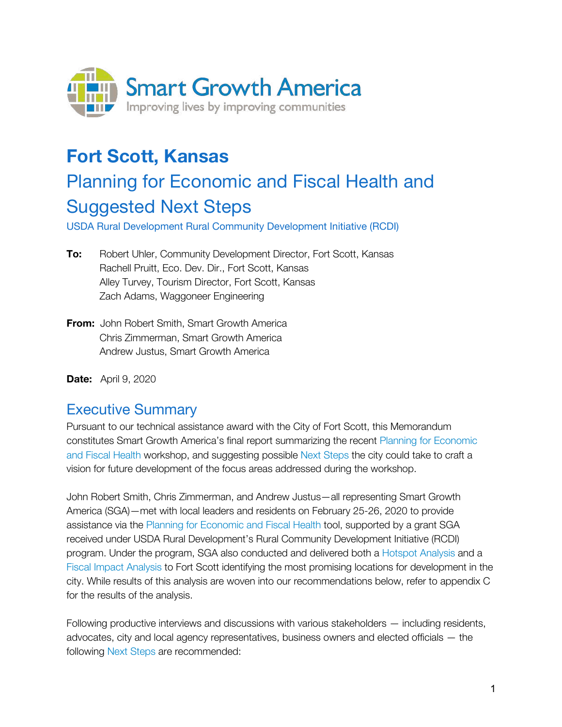

# **Fort Scott, Kansas**

# Planning for Economic and Fiscal Health and Suggested Next Steps

USDA Rural Development Rural Community Development Initiative (RCDI)

- **To:** Robert Uhler, Community Development Director, Fort Scott, Kansas Rachell Pruitt, Eco. Dev. Dir., Fort Scott, Kansas Alley Turvey, Tourism Director, Fort Scott, Kansas Zach Adams, Waggoneer Engineering
- **From:** John Robert Smith, Smart Growth America Chris Zimmerman, Smart Growth America Andrew Justus, Smart Growth America

**Date:** April 9, 2020

# Executive Summary

Pursuant to our technical assistance award with the City of Fort Scott, this Memorandum constitutes Smart Growth America's final report summarizing the recent Planning for Economic and Fiscal Health workshop, and suggesting possible Next Steps the city could take to craft a vision for future development of the focus areas addressed during the workshop.

John Robert Smith, Chris Zimmerman, and Andrew Justus—all representing Smart Growth America (SGA)—met with local leaders and residents on February 25-26, 2020 to provide assistance via the Planning for Economic and Fiscal Health tool, supported by a grant SGA received under USDA Rural Development's Rural Community Development Initiative (RCDI) program. Under the program, SGA also conducted and delivered both a Hotspot Analysis and a Fiscal Impact Analysis to Fort Scott identifying the most promising locations for development in the city. While results of this analysis are woven into our recommendations below, refer to appendix C for the results of the analysis.

Following productive interviews and discussions with various stakeholders — including residents, advocates, city and local agency representatives, business owners and elected officials — the following Next Steps are recommended: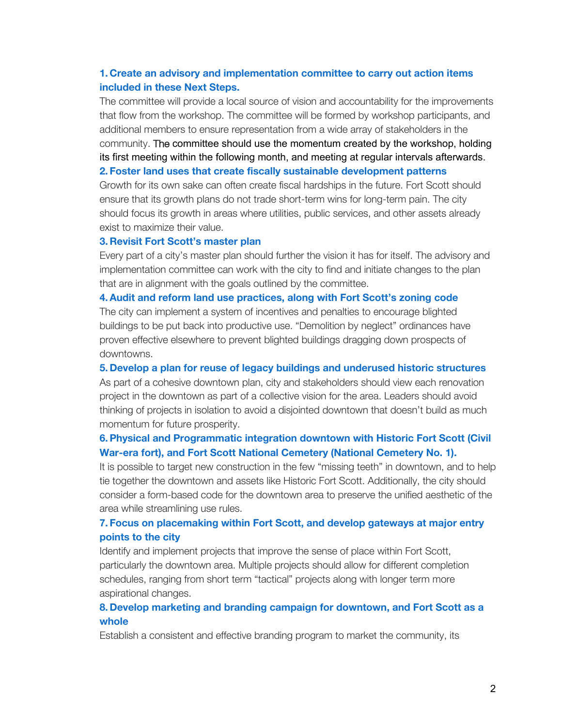#### **1. Create an advisory and implementation committee to carry out action items included in these Next Steps.**

The committee will provide a local source of vision and accountability for the improvements that flow from the workshop. The committee will be formed by workshop participants, and additional members to ensure representation from a wide array of stakeholders in the community. The committee should use the momentum created by the workshop, holding its first meeting within the following month, and meeting at regular intervals afterwards. **2. Foster land uses that create fiscally sustainable development patterns**

Growth for its own sake can often create fiscal hardships in the future. Fort Scott should ensure that its growth plans do not trade short-term wins for long-term pain. The city should focus its growth in areas where utilities, public services, and other assets already exist to maximize their value.

#### **3. Revisit Fort Scott's master plan**

Every part of a city's master plan should further the vision it has for itself. The advisory and implementation committee can work with the city to find and initiate changes to the plan that are in alignment with the goals outlined by the committee.

#### **4.Audit and reform land use practices, along with Fort Scott's zoning code**

The city can implement a system of incentives and penalties to encourage blighted buildings to be put back into productive use. "Demolition by neglect" ordinances have proven effective elsewhere to prevent blighted buildings dragging down prospects of downtowns.

#### **5. Develop a plan for reuse of legacy buildings and underused historic structures**

As part of a cohesive downtown plan, city and stakeholders should view each renovation project in the downtown as part of a collective vision for the area. Leaders should avoid thinking of projects in isolation to avoid a disjointed downtown that doesn't build as much momentum for future prosperity.

#### **6.Physical and Programmatic integration downtown with Historic Fort Scott (Civil War-era fort), and Fort Scott National Cemetery (National Cemetery No. 1).**

It is possible to target new construction in the few "missing teeth" in downtown, and to help tie together the downtown and assets like Historic Fort Scott. Additionally, the city should consider a form-based code for the downtown area to preserve the unified aesthetic of the area while streamlining use rules.

#### **7. Focus on placemaking within Fort Scott, and develop gateways at major entry points to the city**

Identify and implement projects that improve the sense of place within Fort Scott, particularly the downtown area. Multiple projects should allow for different completion schedules, ranging from short term "tactical" projects along with longer term more aspirational changes.

#### **8. Develop marketing and branding campaign for downtown, and Fort Scott as a whole**

Establish a consistent and effective branding program to market the community, its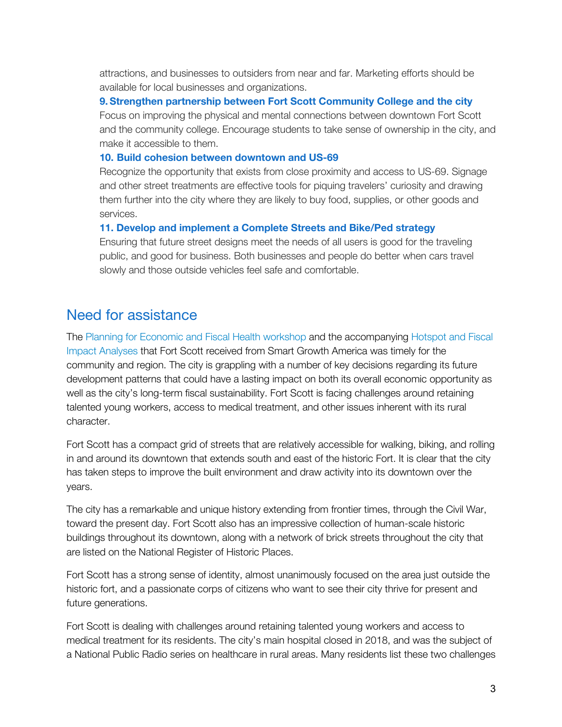attractions, and businesses to outsiders from near and far. Marketing efforts should be available for local businesses and organizations.

**9.Strengthen partnership between Fort Scott Community College and the city** Focus on improving the physical and mental connections between downtown Fort Scott and the community college. Encourage students to take sense of ownership in the city, and make it accessible to them.

#### **10. Build cohesion between downtown and US-69**

Recognize the opportunity that exists from close proximity and access to US-69. Signage and other street treatments are effective tools for piquing travelers' curiosity and drawing them further into the city where they are likely to buy food, supplies, or other goods and services.

#### **11. Develop and implement a Complete Streets and Bike/Ped strategy**

Ensuring that future street designs meet the needs of all users is good for the traveling public, and good for business. Both businesses and people do better when cars travel slowly and those outside vehicles feel safe and comfortable.

# Need for assistance

The Planning for Economic and Fiscal Health workshop and the accompanying Hotspot and Fiscal Impact Analyses that Fort Scott received from Smart Growth America was timely for the community and region. The city is grappling with a number of key decisions regarding its future development patterns that could have a lasting impact on both its overall economic opportunity as well as the city's long-term fiscal sustainability. Fort Scott is facing challenges around retaining talented young workers, access to medical treatment, and other issues inherent with its rural character.

Fort Scott has a compact grid of streets that are relatively accessible for walking, biking, and rolling in and around its downtown that extends south and east of the historic Fort. It is clear that the city has taken steps to improve the built environment and draw activity into its downtown over the years.

The city has a remarkable and unique history extending from frontier times, through the Civil War, toward the present day. Fort Scott also has an impressive collection of human-scale historic buildings throughout its downtown, along with a network of brick streets throughout the city that are listed on the National Register of Historic Places.

Fort Scott has a strong sense of identity, almost unanimously focused on the area just outside the historic fort, and a passionate corps of citizens who want to see their city thrive for present and future generations.

Fort Scott is dealing with challenges around retaining talented young workers and access to medical treatment for its residents. The city's main hospital closed in 2018, and was the subject of a National Public Radio series on healthcare in rural areas. Many residents list these two challenges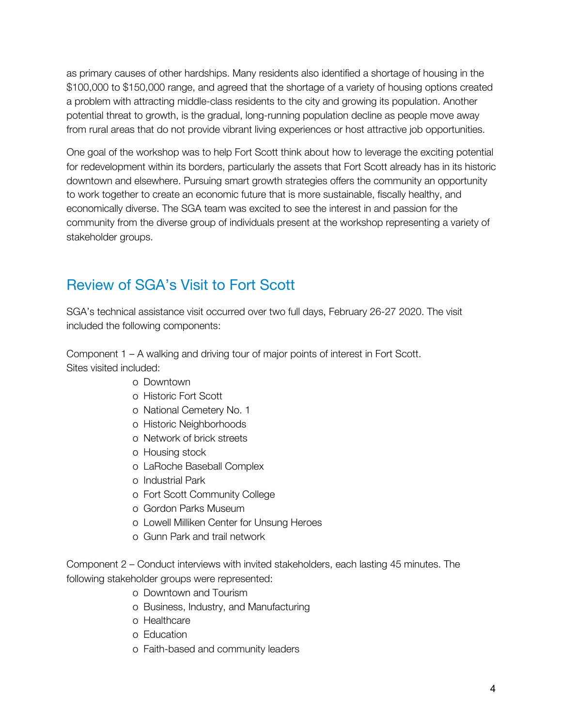as primary causes of other hardships. Many residents also identified a shortage of housing in the \$100,000 to \$150,000 range, and agreed that the shortage of a variety of housing options created a problem with attracting middle-class residents to the city and growing its population. Another potential threat to growth, is the gradual, long-running population decline as people move away from rural areas that do not provide vibrant living experiences or host attractive job opportunities.

One goal of the workshop was to help Fort Scott think about how to leverage the exciting potential for redevelopment within its borders, particularly the assets that Fort Scott already has in its historic downtown and elsewhere. Pursuing smart growth strategies offers the community an opportunity to work together to create an economic future that is more sustainable, fiscally healthy, and economically diverse. The SGA team was excited to see the interest in and passion for the community from the diverse group of individuals present at the workshop representing a variety of stakeholder groups.

# Review of SGA's Visit to Fort Scott

SGA's technical assistance visit occurred over two full days, February 26-27 2020. The visit included the following components:

Component 1 – A walking and driving tour of major points of interest in Fort Scott. Sites visited included:

- o Downtown
- o Historic Fort Scott
- o National Cemetery No. 1
- o Historic Neighborhoods
- o Network of brick streets
- o Housing stock
- o LaRoche Baseball Complex
- o Industrial Park
- o Fort Scott Community College
- o Gordon Parks Museum
- o Lowell Milliken Center for Unsung Heroes
- o Gunn Park and trail network

Component 2 – Conduct interviews with invited stakeholders, each lasting 45 minutes. The following stakeholder groups were represented:

- o Downtown and Tourism
- o Business, Industry, and Manufacturing
- o Healthcare
- o Education
- o Faith-based and community leaders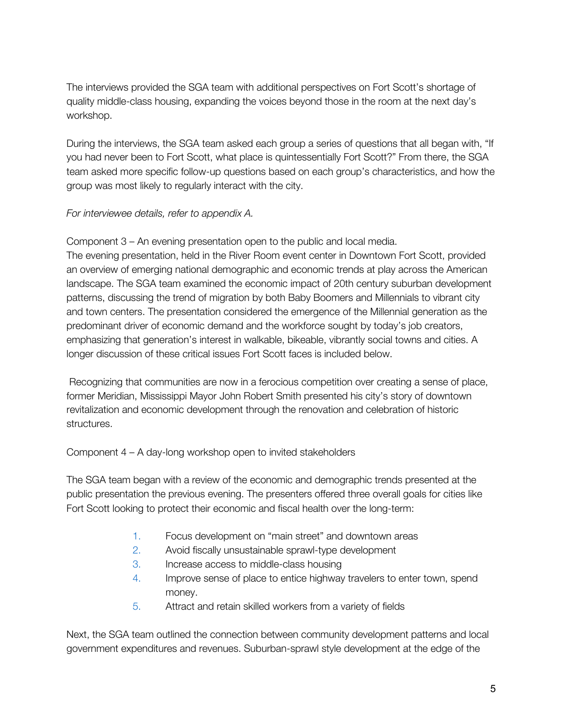The interviews provided the SGA team with additional perspectives on Fort Scott's shortage of quality middle-class housing, expanding the voices beyond those in the room at the next day's workshop.

During the interviews, the SGA team asked each group a series of questions that all began with, "If you had never been to Fort Scott, what place is quintessentially Fort Scott?" From there, the SGA team asked more specific follow-up questions based on each group's characteristics, and how the group was most likely to regularly interact with the city.

## *For interviewee details, refer to appendix A.*

Component 3 – An evening presentation open to the public and local media. The evening presentation, held in the River Room event center in Downtown Fort Scott, provided an overview of emerging national demographic and economic trends at play across the American landscape. The SGA team examined the economic impact of 20th century suburban development patterns, discussing the trend of migration by both Baby Boomers and Millennials to vibrant city and town centers. The presentation considered the emergence of the Millennial generation as the predominant driver of economic demand and the workforce sought by today's job creators, emphasizing that generation's interest in walkable, bikeable, vibrantly social towns and cities. A longer discussion of these critical issues Fort Scott faces is included below.

Recognizing that communities are now in a ferocious competition over creating a sense of place, former Meridian, Mississippi Mayor John Robert Smith presented his city's story of downtown revitalization and economic development through the renovation and celebration of historic structures.

Component 4 – A day-long workshop open to invited stakeholders

The SGA team began with a review of the economic and demographic trends presented at the public presentation the previous evening. The presenters offered three overall goals for cities like Fort Scott looking to protect their economic and fiscal health over the long-term:

- 1. Focus development on "main street" and downtown areas
- 2. Avoid fiscally unsustainable sprawl-type development
- 3. Increase access to middle-class housing
- 4. Improve sense of place to entice highway travelers to enter town, spend money.
- 5. Attract and retain skilled workers from a variety of fields

Next, the SGA team outlined the connection between community development patterns and local government expenditures and revenues. Suburban-sprawl style development at the edge of the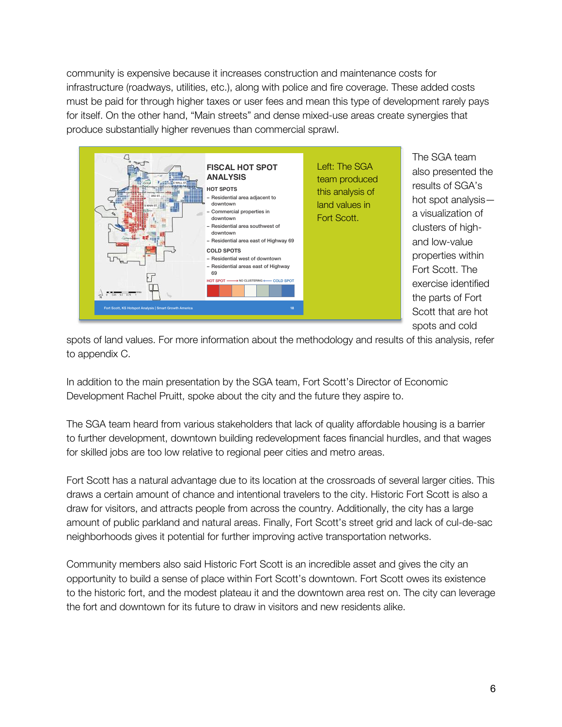community is expensive because it increases construction and maintenance costs for infrastructure (roadways, utilities, etc.), along with police and fire coverage. These added costs must be paid for through higher taxes or user fees and mean this type of development rarely pays for itself. On the other hand, "Main streets" and dense mixed-use areas create synergies that produce substantially higher revenues than commercial sprawl.



The SGA team also presented the results of SGA's hot spot analysis a visualization of clusters of highand low-value properties within Fort Scott. The exercise identified the parts of Fort Scott that are hot spots and cold

spots of land values. For more information about the methodology and results of this analysis, refer to appendix C.

In addition to the main presentation by the SGA team, Fort Scott's Director of Economic Development Rachel Pruitt, spoke about the city and the future they aspire to.

The SGA team heard from various stakeholders that lack of quality affordable housing is a barrier to further development, downtown building redevelopment faces financial hurdles, and that wages for skilled jobs are too low relative to regional peer cities and metro areas.

Fort Scott has a natural advantage due to its location at the crossroads of several larger cities. This draws a certain amount of chance and intentional travelers to the city. Historic Fort Scott is also a draw for visitors, and attracts people from across the country. Additionally, the city has a large amount of public parkland and natural areas. Finally, Fort Scott's street grid and lack of cul-de-sac neighborhoods gives it potential for further improving active transportation networks.

Community members also said Historic Fort Scott is an incredible asset and gives the city an opportunity to build a sense of place within Fort Scott's downtown. Fort Scott owes its existence to the historic fort, and the modest plateau it and the downtown area rest on. The city can leverage the fort and downtown for its future to draw in visitors and new residents alike.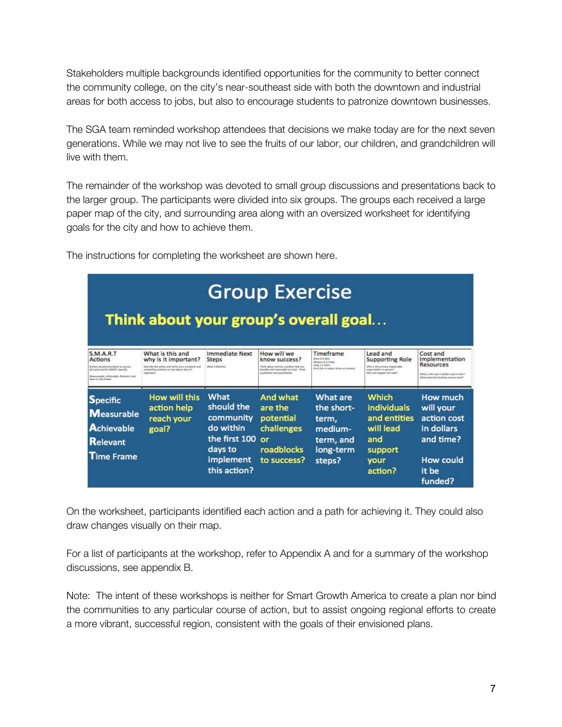Stakeholders multiple backgrounds identified opportunities for the community to better connect the community college, on the city's near-southeast side with both the downtown and industrial areas for both access to jobs, but also to encourage students to patronize downtown businesses.

The SGA team reminded workshop attendees that decisions we make today are for the next seven generations. While we may not live to see the fruits of our labor, our children, and grandchildren will live with them.

The remainder of the workshop was devoted to small group discussions and presentations back to the larger group. The participants were divided into six groups. The groups each received a large paper map of the city, and surrounding area along with an oversized worksheet for identifying goals for the city and how to achieve them.

| <b>Group Exercise</b><br>Think about your group's overall goal                                                                                                           |                                                                                                                                                              |                                                                                                       |                                                                                                                                                           |                                                                                                                                |                                                                                                                                            |                                                                                                                                                          |
|--------------------------------------------------------------------------------------------------------------------------------------------------------------------------|--------------------------------------------------------------------------------------------------------------------------------------------------------------|-------------------------------------------------------------------------------------------------------|-----------------------------------------------------------------------------------------------------------------------------------------------------------|--------------------------------------------------------------------------------------------------------------------------------|--------------------------------------------------------------------------------------------------------------------------------------------|----------------------------------------------------------------------------------------------------------------------------------------------------------|
| S.M.A.R.T<br><b>Actions</b><br>Activate should contribute to secretar<br>of a goal and by MAMY. Specific,<br>Messureakle, Actionable, Release4, and<br>have a Time frame | What is this and<br>why is it important?<br>Describe this sympa and write sytua complete and<br>compelling assessor or two please why it's<br>trigravitainit | <b>Immediate Next</b><br><b>Steps</b><br>(News J. Adventise)                                          | How will we<br>know success?<br><b>Third about exclus, sumbors that are</b><br>Annualist and researcable to track. Flund<br>qualitative one quantitative. | Timeframe<br><b><i>Uhart B.A. Mon.</i></b><br>Ministern E-32 Mint<br>Leng J-J Years<br>(Foot than to adjust those as repaired) | Lead and<br><b>Supporting Role</b><br>What is the artmen's researcher<br>Chicago in militariazione<br><b>Theat will require File sylly</b> | Cost and<br>Implementation<br><b>Resources</b><br>Friend of lane analysis in their volt to tried in<br><b>Skillad accounting functing sources excel-</b> |
| <b>Specific</b><br><b>Measurable</b><br><b>Achievable</b><br><b>Relevant</b><br><b>Time Frame</b>                                                                        | How will this<br>action help<br>reach your<br>goal?                                                                                                          | What<br>should the<br>community<br>do within<br>the first 100<br>days to<br>implement<br>this action? | And what<br>are the<br>potential<br>challenges<br>$\alpha$ r<br>roadblocks<br>to success?                                                                 | What are<br>the short-<br>term.<br>medium-<br>term, and<br>long-term<br>steps?                                                 | <b>Which</b><br><b>individuals</b><br>and entities<br>will lead<br>and<br>support<br>vour<br>action?                                       | How much<br>will your<br>action cost<br>in dollars<br>and time?<br>How could<br>it be<br>funded?                                                         |

The instructions for completing the worksheet are shown here.

On the worksheet, participants identified each action and a path for achieving it. They could also draw changes visually on their map.

For a list of participants at the workshop, refer to Appendix A and for a summary of the workshop discussions, see appendix B.

Note: The intent of these workshops is neither for Smart Growth America to create a plan nor bind the communities to any particular course of action, but to assist ongoing regional efforts to create a more vibrant, successful region, consistent with the goals of their envisioned plans.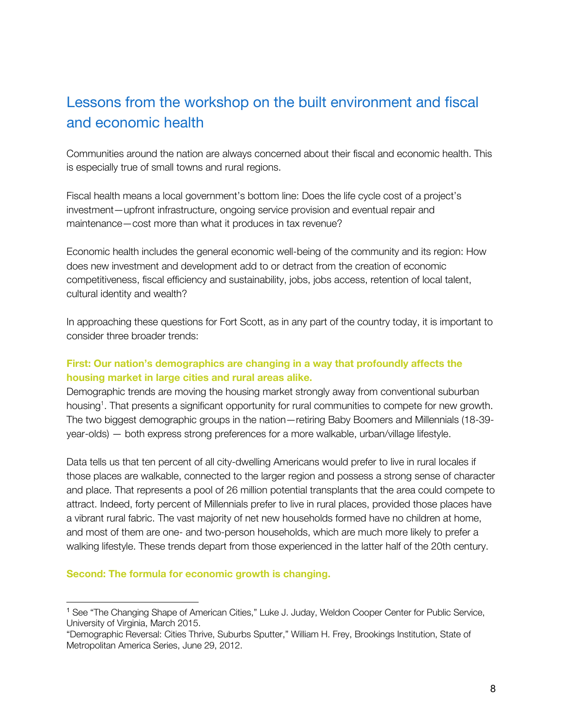# Lessons from the workshop on the built environment and fiscal and economic health

Communities around the nation are always concerned about their fiscal and economic health. This is especially true of small towns and rural regions.

Fiscal health means a local government's bottom line: Does the life cycle cost of a project's investment—upfront infrastructure, ongoing service provision and eventual repair and maintenance—cost more than what it produces in tax revenue?

Economic health includes the general economic well-being of the community and its region: How does new investment and development add to or detract from the creation of economic competitiveness, fiscal efficiency and sustainability, jobs, jobs access, retention of local talent, cultural identity and wealth?

In approaching these questions for Fort Scott, as in any part of the country today, it is important to consider three broader trends:

# **First: Our nation's demographics are changing in a way that profoundly affects the housing market in large cities and rural areas alike.**

Demographic trends are moving the housing market strongly away from conventional suburban housing<sup>1</sup>. That presents a significant opportunity for rural communities to compete for new growth. The two biggest demographic groups in the nation—retiring Baby Boomers and Millennials (18-39 year-olds) — both express strong preferences for a more walkable, urban/village lifestyle.

Data tells us that ten percent of all city-dwelling Americans would prefer to live in rural locales if those places are walkable, connected to the larger region and possess a strong sense of character and place. That represents a pool of 26 million potential transplants that the area could compete to attract. Indeed, forty percent of Millennials prefer to live in rural places, provided those places have a vibrant rural fabric. The vast majority of net new households formed have no children at home, and most of them are one- and two-person households, which are much more likely to prefer a walking lifestyle. These trends depart from those experienced in the latter half of the 20th century.

#### **Second: The formula for economic growth is changing.**

<sup>1</sup> See "The Changing Shape of American Cities," Luke J. Juday, Weldon Cooper Center for Public Service, University of Virginia, March 2015.

<sup>&</sup>quot;Demographic Reversal: Cities Thrive, Suburbs Sputter," William H. Frey, Brookings Institution, State of Metropolitan America Series, June 29, 2012.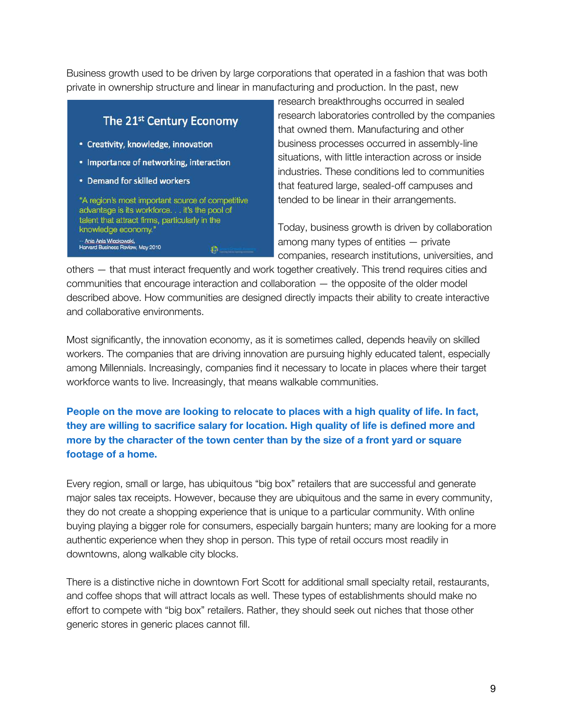Business growth used to be driven by large corporations that operated in a fashion that was both private in ownership structure and linear in manufacturing and production. In the past, new

# The 21st Century Economy

- Creativity, knowledge, innovation
- Importance of networking, interaction
- Demand for skilled workers

"A region's most important source of competitive advantage is its workforce. . . it's the pool of talent that attract firms, particularly in the knowledge economy.' -- Ania Ania Wieckowski,<br>Harvard Business Review, May 2010 æ.

research breakthroughs occurred in sealed research laboratories controlled by the companies that owned them. Manufacturing and other business processes occurred in assembly-line situations, with little interaction across or inside industries. These conditions led to communities that featured large, sealed-off campuses and tended to be linear in their arrangements.

Today, business growth is driven by collaboration among many types of entities — private companies, research institutions, universities, and

others — that must interact frequently and work together creatively. This trend requires cities and communities that encourage interaction and collaboration — the opposite of the older model described above. How communities are designed directly impacts their ability to create interactive and collaborative environments.

Most significantly, the innovation economy, as it is sometimes called, depends heavily on skilled workers. The companies that are driving innovation are pursuing highly educated talent, especially among Millennials. Increasingly, companies find it necessary to locate in places where their target workforce wants to live. Increasingly, that means walkable communities.

**People on the move are looking to relocate to places with a high quality of life. In fact, they are willing to sacrifice salary for location. High quality of life is defined more and more by the character of the town center than by the size of a front yard or square footage of a home.**

Every region, small or large, has ubiquitous "big box" retailers that are successful and generate major sales tax receipts. However, because they are ubiquitous and the same in every community, they do not create a shopping experience that is unique to a particular community. With online buying playing a bigger role for consumers, especially bargain hunters; many are looking for a more authentic experience when they shop in person. This type of retail occurs most readily in downtowns, along walkable city blocks.

There is a distinctive niche in downtown Fort Scott for additional small specialty retail, restaurants, and coffee shops that will attract locals as well. These types of establishments should make no effort to compete with "big box" retailers. Rather, they should seek out niches that those other generic stores in generic places cannot fill.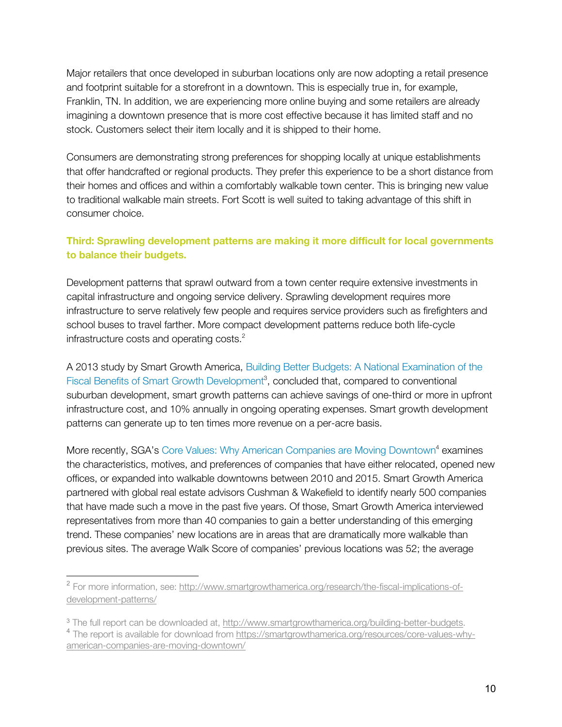Major retailers that once developed in suburban locations only are now adopting a retail presence and footprint suitable for a storefront in a downtown. This is especially true in, for example, Franklin, TN. In addition, we are experiencing more online buying and some retailers are already imagining a downtown presence that is more cost effective because it has limited staff and no stock. Customers select their item locally and it is shipped to their home.

Consumers are demonstrating strong preferences for shopping locally at unique establishments that offer handcrafted or regional products. They prefer this experience to be a short distance from their homes and offices and within a comfortably walkable town center. This is bringing new value to traditional walkable main streets. Fort Scott is well suited to taking advantage of this shift in consumer choice.

## **Third: Sprawling development patterns are making it more difficult for local governments to balance their budgets.**

Development patterns that sprawl outward from a town center require extensive investments in capital infrastructure and ongoing service delivery. Sprawling development requires more infrastructure to serve relatively few people and requires service providers such as firefighters and school buses to travel farther. More compact development patterns reduce both life-cycle infrastructure costs and operating costs.<sup>2</sup>

A 2013 study by Smart Growth America, Building Better Budgets: A National Examination of the Fiscal Benefits of Smart Growth Development<sup>3</sup>, concluded that, compared to conventional suburban development, smart growth patterns can achieve savings of one-third or more in upfront infrastructure cost, and 10% annually in ongoing operating expenses. Smart growth development patterns can generate up to ten times more revenue on a per-acre basis.

More recently, SGA's Core Values: Why American Companies are Moving Downtown<sup>4</sup> examines the characteristics, motives, and preferences of companies that have either relocated, opened new offices, or expanded into walkable downtowns between 2010 and 2015. Smart Growth America partnered with global real estate advisors Cushman & Wakefield to identify nearly 500 companies that have made such a move in the past five years. Of those, Smart Growth America interviewed representatives from more than 40 companies to gain a better understanding of this emerging trend. These companies' new locations are in areas that are dramatically more walkable than previous sites. The average Walk Score of companies' previous locations was 52; the average

<sup>2</sup> For more information, see: http://www.smartgrowthamerica.org/research/the-fiscal-implications-ofdevelopment-patterns/

<sup>3</sup> The full report can be downloaded at, http://www.smartgrowthamerica.org/building-better-budgets. <sup>4</sup> The report is available for download from https://smartgrowthamerica.org/resources/core-values-whyamerican-companies-are-moving-downtown/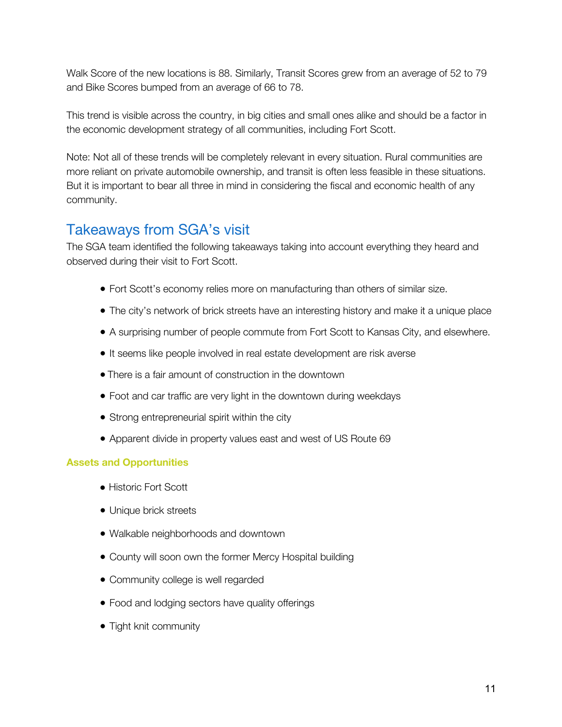Walk Score of the new locations is 88. Similarly, Transit Scores grew from an average of 52 to 79 and Bike Scores bumped from an average of 66 to 78.

This trend is visible across the country, in big cities and small ones alike and should be a factor in the economic development strategy of all communities, including Fort Scott.

Note: Not all of these trends will be completely relevant in every situation. Rural communities are more reliant on private automobile ownership, and transit is often less feasible in these situations. But it is important to bear all three in mind in considering the fiscal and economic health of any community.

# Takeaways from SGA's visit

The SGA team identified the following takeaways taking into account everything they heard and observed during their visit to Fort Scott.

- Fort Scott's economy relies more on manufacturing than others of similar size.
- The city's network of brick streets have an interesting history and make it a unique place
- A surprising number of people commute from Fort Scott to Kansas City, and elsewhere.
- It seems like people involved in real estate development are risk averse
- There is a fair amount of construction in the downtown
- Foot and car traffic are very light in the downtown during weekdays
- Strong entrepreneurial spirit within the city
- Apparent divide in property values east and west of US Route 69

# **Assets and Opportunities**

- Historic Fort Scott
- Unique brick streets
- Walkable neighborhoods and downtown
- County will soon own the former Mercy Hospital building
- Community college is well regarded
- Food and lodging sectors have quality offerings
- Tight knit community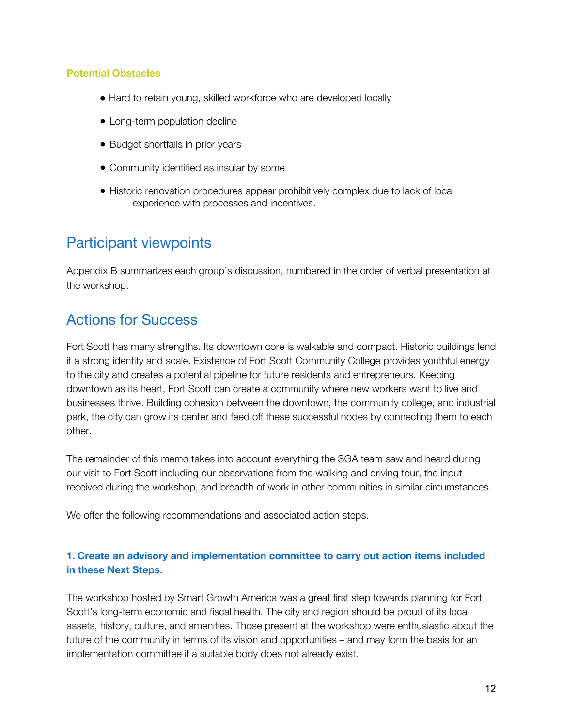#### **Potential Obstacles**

- Hard to retain young, skilled workforce who are developed locally
- Long-term population decline
- Budget shortfalls in prior years
- Community identified as insular by some
- Historic renovation procedures appear prohibitively complex due to lack of local experience with processes and incentives.

# Participant viewpoints

Appendix B summarizes each group's discussion, numbered in the order of verbal presentation at the workshop.

# Actions for Success

Fort Scott has many strengths. Its downtown core is walkable and compact. Historic buildings lend it a strong identity and scale. Existence of Fort Scott Community College provides youthful energy to the city and creates a potential pipeline for future residents and entrepreneurs. Keeping downtown as its heart, Fort Scott can create a community where new workers want to live and businesses thrive. Building cohesion between the downtown, the community college, and industrial park, the city can grow its center and feed off these successful nodes by connecting them to each other.

The remainder of this memo takes into account everything the SGA team saw and heard during our visit to Fort Scott including our observations from the walking and driving tour, the input received during the workshop, and breadth of work in other communities in similar circumstances.

We offer the following recommendations and associated action steps.

## **1. Create an advisory and implementation committee to carry out action items included in these Next Steps.**

The workshop hosted by Smart Growth America was a great first step towards planning for Fort Scott's long-term economic and fiscal health. The city and region should be proud of its local assets, history, culture, and amenities. Those present at the workshop were enthusiastic about the future of the community in terms of its vision and opportunities – and may form the basis for an implementation committee if a suitable body does not already exist.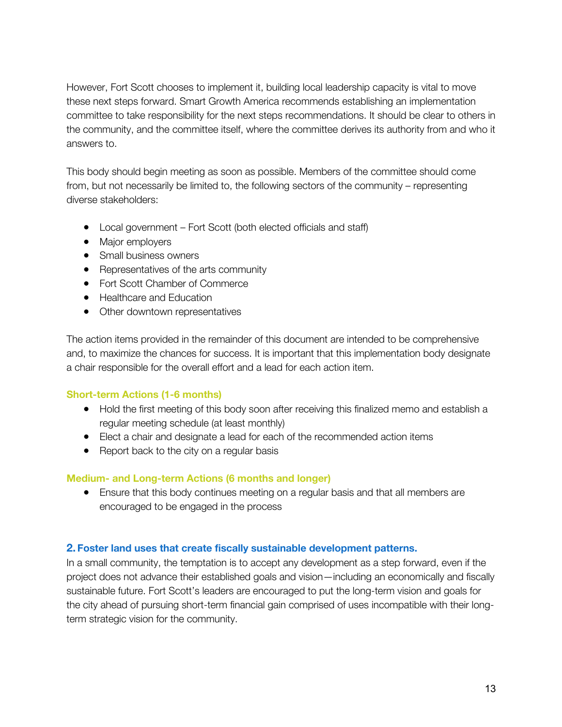However, Fort Scott chooses to implement it, building local leadership capacity is vital to move these next steps forward. Smart Growth America recommends establishing an implementation committee to take responsibility for the next steps recommendations. It should be clear to others in the community, and the committee itself, where the committee derives its authority from and who it answers to.

This body should begin meeting as soon as possible. Members of the committee should come from, but not necessarily be limited to, the following sectors of the community – representing diverse stakeholders:

- Local government Fort Scott (both elected officials and staff)
- Major employers
- Small business owners
- Representatives of the arts community
- Fort Scott Chamber of Commerce
- Healthcare and Education
- Other downtown representatives

The action items provided in the remainder of this document are intended to be comprehensive and, to maximize the chances for success. It is important that this implementation body designate a chair responsible for the overall effort and a lead for each action item.

#### **Short-term Actions (1-6 months)**

- Hold the first meeting of this body soon after receiving this finalized memo and establish a regular meeting schedule (at least monthly)
- Elect a chair and designate a lead for each of the recommended action items
- Report back to the city on a regular basis

#### **Medium- and Long-term Actions (6 months and longer)**

• Ensure that this body continues meeting on a regular basis and that all members are encouraged to be engaged in the process

#### **2. Foster land uses that create fiscally sustainable development patterns.**

In a small community, the temptation is to accept any development as a step forward, even if the project does not advance their established goals and vision—including an economically and fiscally sustainable future. Fort Scott's leaders are encouraged to put the long-term vision and goals for the city ahead of pursuing short-term financial gain comprised of uses incompatible with their longterm strategic vision for the community.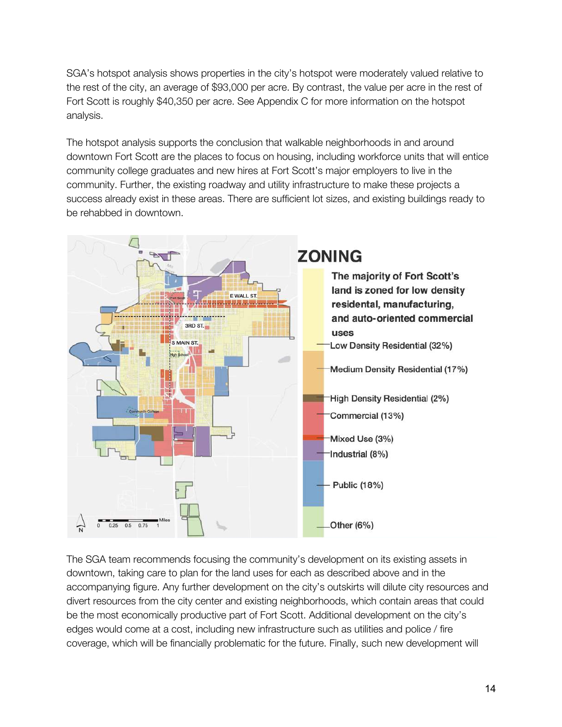SGA's hotspot analysis shows properties in the city's hotspot were moderately valued relative to the rest of the city, an average of \$93,000 per acre. By contrast, the value per acre in the rest of Fort Scott is roughly \$40,350 per acre. See Appendix C for more information on the hotspot analysis.

The hotspot analysis supports the conclusion that walkable neighborhoods in and around downtown Fort Scott are the places to focus on housing, including workforce units that will entice community college graduates and new hires at Fort Scott's major employers to live in the community. Further, the existing roadway and utility infrastructure to make these projects a success already exist in these areas. There are sufficient lot sizes, and existing buildings ready to be rehabbed in downtown.



The SGA team recommends focusing the community's development on its existing assets in downtown, taking care to plan for the land uses for each as described above and in the accompanying figure. Any further development on the city's outskirts will dilute city resources and divert resources from the city center and existing neighborhoods, which contain areas that could be the most economically productive part of Fort Scott. Additional development on the city's edges would come at a cost, including new infrastructure such as utilities and police / fire coverage, which will be financially problematic for the future. Finally, such new development will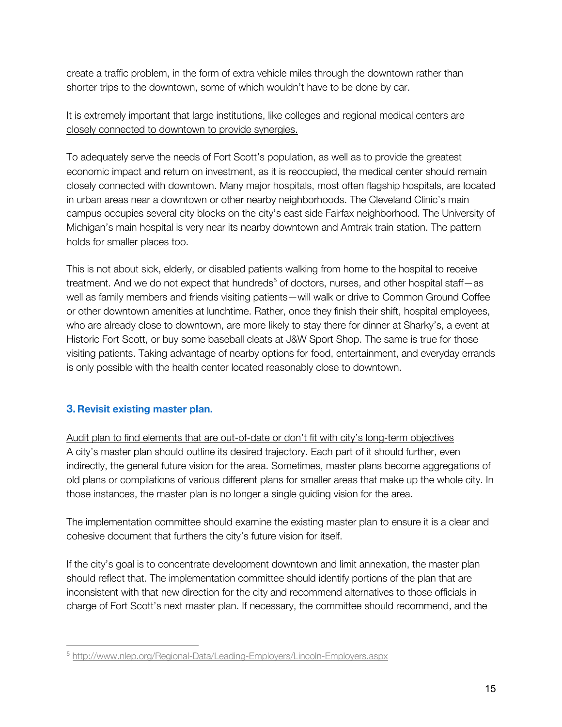create a traffic problem, in the form of extra vehicle miles through the downtown rather than shorter trips to the downtown, some of which wouldn't have to be done by car.

# It is extremely important that large institutions, like colleges and regional medical centers are closely connected to downtown to provide synergies.

To adequately serve the needs of Fort Scott's population, as well as to provide the greatest economic impact and return on investment, as it is reoccupied, the medical center should remain closely connected with downtown. Many major hospitals, most often flagship hospitals, are located in urban areas near a downtown or other nearby neighborhoods. The Cleveland Clinic's main campus occupies several city blocks on the city's east side Fairfax neighborhood. The University of Michigan's main hospital is very near its nearby downtown and Amtrak train station. The pattern holds for smaller places too.

This is not about sick, elderly, or disabled patients walking from home to the hospital to receive treatment. And we do not expect that hundreds<sup>5</sup> of doctors, nurses, and other hospital staff-as well as family members and friends visiting patients—will walk or drive to Common Ground Coffee or other downtown amenities at lunchtime. Rather, once they finish their shift, hospital employees, who are already close to downtown, are more likely to stay there for dinner at Sharky's, a event at Historic Fort Scott, or buy some baseball cleats at J&W Sport Shop. The same is true for those visiting patients. Taking advantage of nearby options for food, entertainment, and everyday errands is only possible with the health center located reasonably close to downtown.

# **3. Revisit existing master plan.**

Audit plan to find elements that are out-of-date or don't fit with city's long-term objectives A city's master plan should outline its desired trajectory. Each part of it should further, even indirectly, the general future vision for the area. Sometimes, master plans become aggregations of old plans or compilations of various different plans for smaller areas that make up the whole city. In those instances, the master plan is no longer a single guiding vision for the area.

The implementation committee should examine the existing master plan to ensure it is a clear and cohesive document that furthers the city's future vision for itself.

If the city's goal is to concentrate development downtown and limit annexation, the master plan should reflect that. The implementation committee should identify portions of the plan that are inconsistent with that new direction for the city and recommend alternatives to those officials in charge of Fort Scott's next master plan. If necessary, the committee should recommend, and the

<sup>5</sup> http://www.nlep.org/Regional-Data/Leading-Employers/Lincoln-Employers.aspx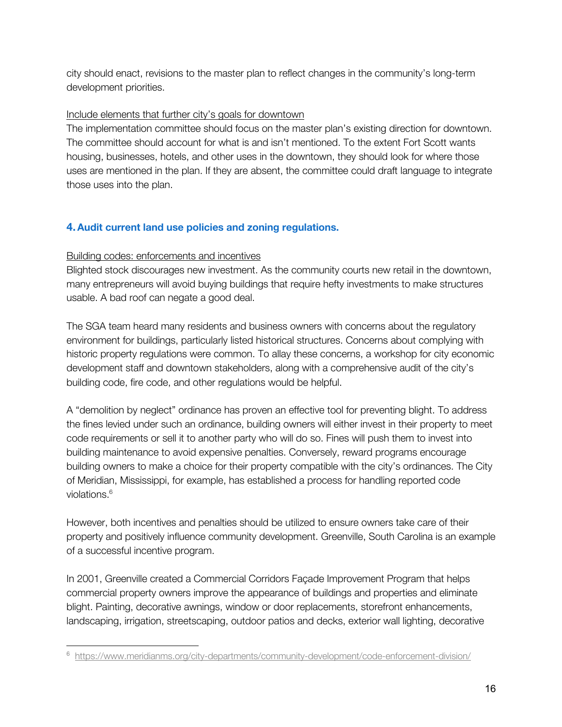city should enact, revisions to the master plan to reflect changes in the community's long-term development priorities.

### Include elements that further city's goals for downtown

The implementation committee should focus on the master plan's existing direction for downtown. The committee should account for what is and isn't mentioned. To the extent Fort Scott wants housing, businesses, hotels, and other uses in the downtown, they should look for where those uses are mentioned in the plan. If they are absent, the committee could draft language to integrate those uses into the plan.

# **4.Audit current land use policies and zoning regulations.**

## Building codes: enforcements and incentives

Blighted stock discourages new investment. As the community courts new retail in the downtown, many entrepreneurs will avoid buying buildings that require hefty investments to make structures usable. A bad roof can negate a good deal.

The SGA team heard many residents and business owners with concerns about the regulatory environment for buildings, particularly listed historical structures. Concerns about complying with historic property regulations were common. To allay these concerns, a workshop for city economic development staff and downtown stakeholders, along with a comprehensive audit of the city's building code, fire code, and other regulations would be helpful.

A "demolition by neglect" ordinance has proven an effective tool for preventing blight. To address the fines levied under such an ordinance, building owners will either invest in their property to meet code requirements or sell it to another party who will do so. Fines will push them to invest into building maintenance to avoid expensive penalties. Conversely, reward programs encourage building owners to make a choice for their property compatible with the city's ordinances. The City of Meridian, Mississippi, for example, has established a process for handling reported code violations.<sup>6</sup>

However, both incentives and penalties should be utilized to ensure owners take care of their property and positively influence community development. Greenville, South Carolina is an example of a successful incentive program.

In 2001, Greenville created a Commercial Corridors Façade Improvement Program that helps commercial property owners improve the appearance of buildings and properties and eliminate blight. Painting, decorative awnings, window or door replacements, storefront enhancements, landscaping, irrigation, streetscaping, outdoor patios and decks, exterior wall lighting, decorative

<sup>6</sup> https://www.meridianms.org/city-departments/community-development/code-enforcement-division/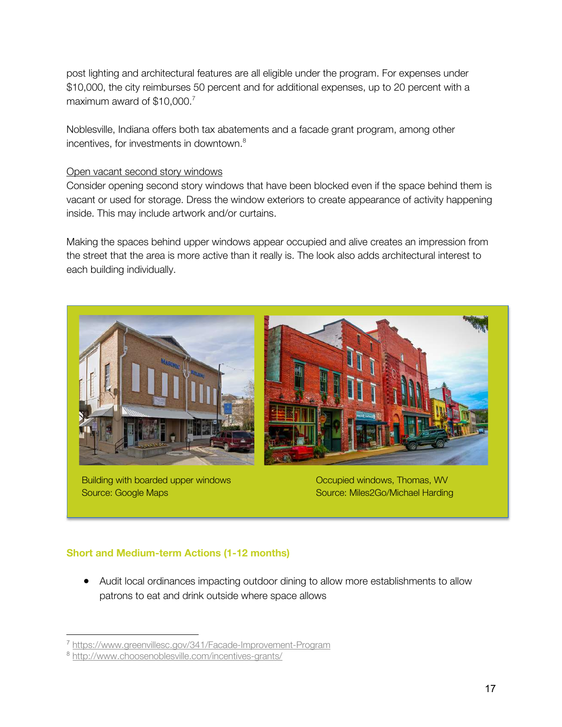post lighting and architectural features are all eligible under the program. For expenses under \$10,000, the city reimburses 50 percent and for additional expenses, up to 20 percent with a maximum award of \$10,000.<sup>7</sup>

Noblesville, Indiana offers both tax abatements and a facade grant program, among other incentives, for investments in downtown.<sup>8</sup>

#### Open vacant second story windows

Consider opening second story windows that have been blocked even if the space behind them is vacant or used for storage. Dress the window exteriors to create appearance of activity happening inside. This may include artwork and/or curtains.

Making the spaces behind upper windows appear occupied and alive creates an impression from the street that the area is more active than it really is. The look also adds architectural interest to each building individually.



Building with boarded upper windows Source: Google Maps

Occupied windows, Thomas, WV Source: Miles2Go/Michael Harding

#### **Short and Medium-term Actions (1-12 months)**

● Audit local ordinances impacting outdoor dining to allow more establishments to allow patrons to eat and drink outside where space allows

<sup>7</sup> https://www.greenvillesc.gov/341/Facade-Improvement-Program

<sup>8</sup> http://www.choosenoblesville.com/incentives-grants/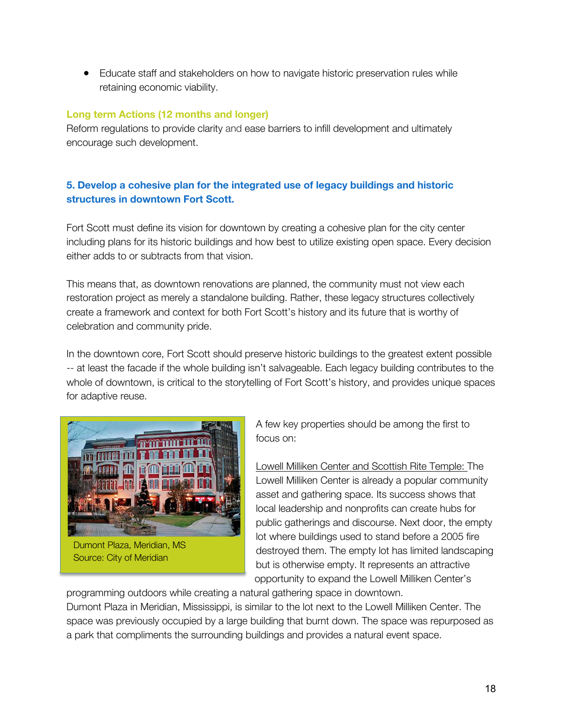● Educate staff and stakeholders on how to navigate historic preservation rules while retaining economic viability.

## **Long term Actions (12 months and longer)**

Reform regulations to provide clarity and ease barriers to infill development and ultimately encourage such development.

# **5. Develop a cohesive plan for the integrated use of legacy buildings and historic structures in downtown Fort Scott.**

Fort Scott must define its vision for downtown by creating a cohesive plan for the city center including plans for its historic buildings and how best to utilize existing open space. Every decision either adds to or subtracts from that vision.

This means that, as downtown renovations are planned, the community must not view each restoration project as merely a standalone building. Rather, these legacy structures collectively create a framework and context for both Fort Scott's history and its future that is worthy of celebration and community pride.

In the downtown core, Fort Scott should preserve historic buildings to the greatest extent possible -- at least the facade if the whole building isn't salvageable. Each legacy building contributes to the whole of downtown, is critical to the storytelling of Fort Scott's history, and provides unique spaces for adaptive reuse.



Source: City of Meridian

A few key properties should be among the first to focus on:

Lowell Milliken Center and Scottish Rite Temple: The Lowell Milliken Center is already a popular community asset and gathering space. Its success shows that local leadership and nonprofits can create hubs for public gatherings and discourse. Next door, the empty lot where buildings used to stand before a 2005 fire destroyed them. The empty lot has limited landscaping but is otherwise empty. It represents an attractive opportunity to expand the Lowell Milliken Center's

programming outdoors while creating a natural gathering space in downtown. Dumont Plaza in Meridian, Mississippi, is similar to the lot next to the Lowell Milliken Center. The space was previously occupied by a large building that burnt down. The space was repurposed as a park that compliments the surrounding buildings and provides a natural event space.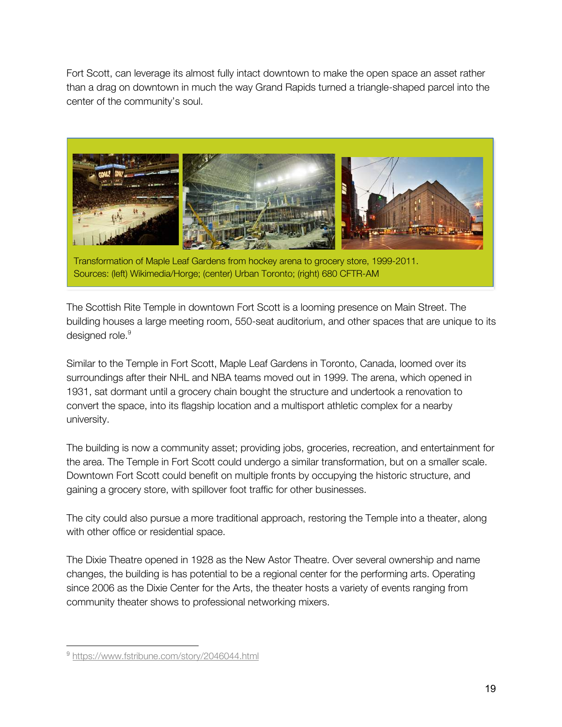Fort Scott, can leverage its almost fully intact downtown to make the open space an asset rather than a drag on downtown in much the way Grand Rapids turned a triangle-shaped parcel into the center of the community's soul.



Transformation of Maple Leaf Gardens from hockey arena to grocery store, 1999-2011. Sources: (left) Wikimedia/Horge; (center) Urban Toronto; (right) 680 CFTR-AM

The Scottish Rite Temple in downtown Fort Scott is a looming presence on Main Street. The building houses a large meeting room, 550-seat auditorium, and other spaces that are unique to its designed role.<sup>9</sup>

Similar to the Temple in Fort Scott, Maple Leaf Gardens in Toronto, Canada, loomed over its surroundings after their NHL and NBA teams moved out in 1999. The arena, which opened in 1931, sat dormant until a grocery chain bought the structure and undertook a renovation to convert the space, into its flagship location and a multisport athletic complex for a nearby university.

The building is now a community asset; providing jobs, groceries, recreation, and entertainment for the area. The Temple in Fort Scott could undergo a similar transformation, but on a smaller scale. Downtown Fort Scott could benefit on multiple fronts by occupying the historic structure, and gaining a grocery store, with spillover foot traffic for other businesses.

The city could also pursue a more traditional approach, restoring the Temple into a theater, along with other office or residential space.

The Dixie Theatre opened in 1928 as the New Astor Theatre. Over several ownership and name changes, the building is has potential to be a regional center for the performing arts. Operating since 2006 as the Dixie Center for the Arts, the theater hosts a variety of events ranging from community theater shows to professional networking mixers.

<sup>9</sup> https://www.fstribune.com/story/2046044.html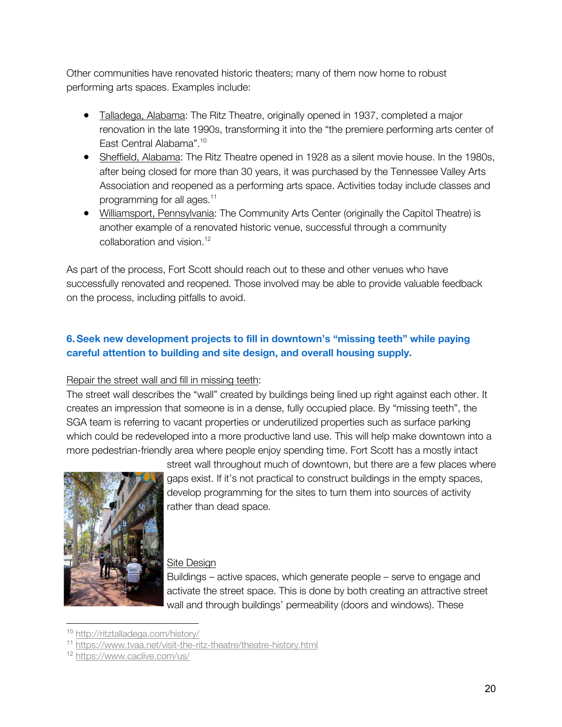Other communities have renovated historic theaters; many of them now home to robust performing arts spaces. Examples include:

- Talladega, Alabama: The Ritz Theatre, originally opened in 1937, completed a major renovation in the late 1990s, transforming it into the "the premiere performing arts center of East Central Alabama".10
- Sheffield, Alabama: The Ritz Theatre opened in 1928 as a silent movie house. In the 1980s, after being closed for more than 30 years, it was purchased by the Tennessee Valley Arts Association and reopened as a performing arts space. Activities today include classes and programming for all ages.<sup>11</sup>
- Williamsport, Pennsylvania: The Community Arts Center (originally the Capitol Theatre) is another example of a renovated historic venue, successful through a community collaboration and vision.<sup>12</sup>

As part of the process, Fort Scott should reach out to these and other venues who have successfully renovated and reopened. Those involved may be able to provide valuable feedback on the process, including pitfalls to avoid.

# **6.Seek new development projects to fill in downtown's "missing teeth" while paying careful attention to building and site design, and overall housing supply.**

#### Repair the street wall and fill in missing teeth:

The street wall describes the "wall" created by buildings being lined up right against each other. It creates an impression that someone is in a dense, fully occupied place. By "missing teeth", the SGA team is referring to vacant properties or underutilized properties such as surface parking which could be redeveloped into a more productive land use. This will help make downtown into a more pedestrian-friendly area where people enjoy spending time. Fort Scott has a mostly intact



street wall throughout much of downtown, but there are a few places where gaps exist. If it's not practical to construct buildings in the empty spaces, develop programming for the sites to turn them into sources of activity rather than dead space.

#### Site Design

Buildings – active spaces, which generate people – serve to engage and activate the street space. This is done by both creating an attractive street wall and through buildings' permeability (doors and windows). These

<sup>10</sup> http://ritztalladega.com/history/

<sup>11</sup> https://www.tvaa.net/visit-the-ritz-theatre/theatre-history.html

<sup>12</sup> https://www.caclive.com/us/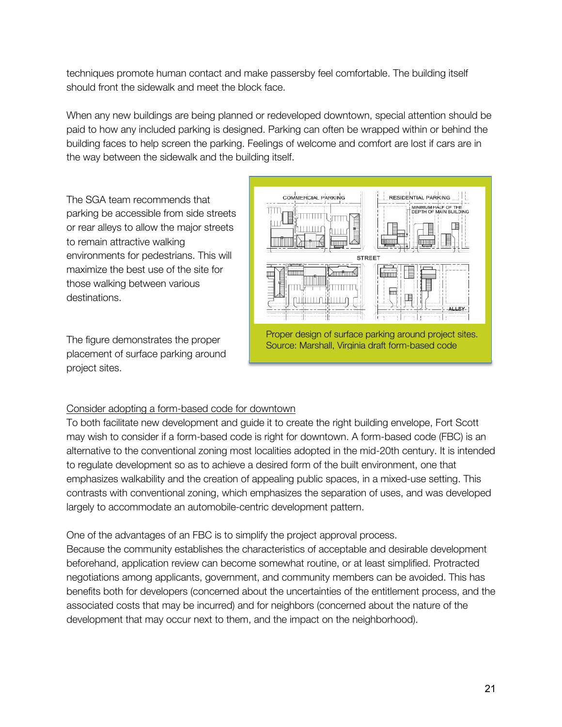techniques promote human contact and make passersby feel comfortable. The building itself should front the sidewalk and meet the block face.

When any new buildings are being planned or redeveloped downtown, special attention should be paid to how any included parking is designed. Parking can often be wrapped within or behind the building faces to help screen the parking. Feelings of welcome and comfort are lost if cars are in the way between the sidewalk and the building itself.

The SGA team recommends that parking be accessible from side streets or rear alleys to allow the major streets to remain attractive walking environments for pedestrians. This will maximize the best use of the site for those walking between various destinations.

The figure demonstrates the proper placement of surface parking around project sites.



#### Consider adopting a form-based code for downtown

To both facilitate new development and guide it to create the right building envelope, Fort Scott may wish to consider if a form-based code is right for downtown. A form-based code (FBC) is an alternative to the conventional zoning most localities adopted in the mid-20th century. It is intended to regulate development so as to achieve a desired form of the built environment, one that emphasizes walkability and the creation of appealing public spaces, in a mixed-use setting. This contrasts with conventional zoning, which emphasizes the separation of uses, and was developed largely to accommodate an automobile-centric development pattern.

One of the advantages of an FBC is to simplify the project approval process.

Because the community establishes the characteristics of acceptable and desirable development beforehand, application review can become somewhat routine, or at least simplified. Protracted negotiations among applicants, government, and community members can be avoided. This has benefits both for developers (concerned about the uncertainties of the entitlement process, and the associated costs that may be incurred) and for neighbors (concerned about the nature of the development that may occur next to them, and the impact on the neighborhood).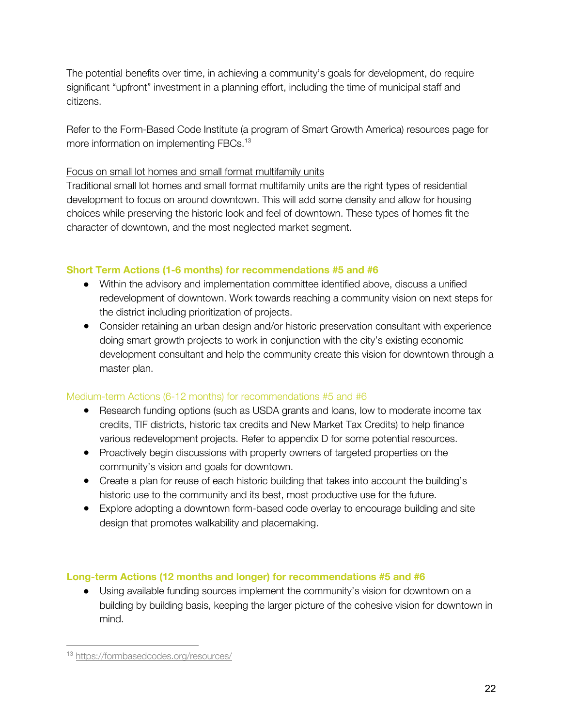The potential benefits over time, in achieving a community's goals for development, do require significant "upfront" investment in a planning effort, including the time of municipal staff and citizens.

Refer to the Form-Based Code Institute (a program of Smart Growth America) resources page for more information on implementing FBCs.<sup>13</sup>

# Focus on small lot homes and small format multifamily units

Traditional small lot homes and small format multifamily units are the right types of residential development to focus on around downtown. This will add some density and allow for housing choices while preserving the historic look and feel of downtown. These types of homes fit the character of downtown, and the most neglected market segment.

# **Short Term Actions (1-6 months) for recommendations #5 and #6**

- Within the advisory and implementation committee identified above, discuss a unified redevelopment of downtown. Work towards reaching a community vision on next steps for the district including prioritization of projects.
- Consider retaining an urban design and/or historic preservation consultant with experience doing smart growth projects to work in conjunction with the city's existing economic development consultant and help the community create this vision for downtown through a master plan.

# Medium-term Actions (6-12 months) for recommendations #5 and #6

- Research funding options (such as USDA grants and loans, low to moderate income tax credits, TIF districts, historic tax credits and New Market Tax Credits) to help finance various redevelopment projects. Refer to appendix D for some potential resources.
- Proactively begin discussions with property owners of targeted properties on the community's vision and goals for downtown.
- Create a plan for reuse of each historic building that takes into account the building's historic use to the community and its best, most productive use for the future.
- Explore adopting a downtown form-based code overlay to encourage building and site design that promotes walkability and placemaking.

# **Long-term Actions (12 months and longer) for recommendations #5 and #6**

● Using available funding sources implement the community's vision for downtown on a building by building basis, keeping the larger picture of the cohesive vision for downtown in mind.

<sup>13</sup> https://formbasedcodes.org/resources/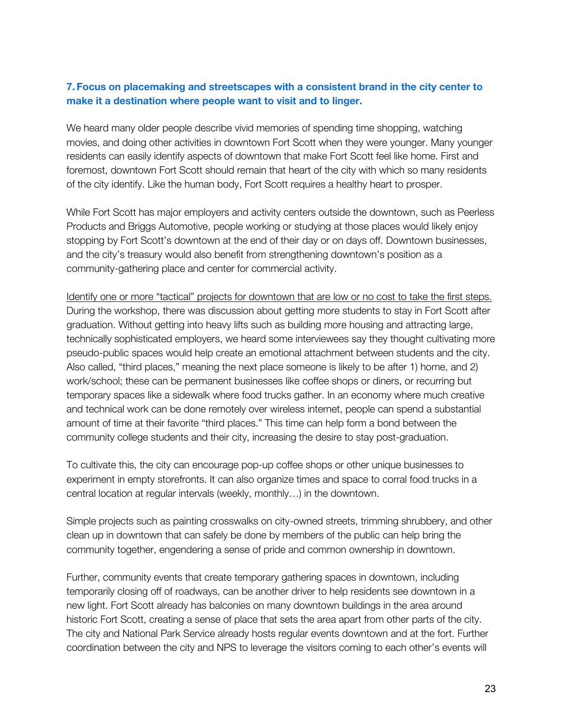## **7. Focus on placemaking and streetscapes with a consistent brand in the city center to make it a destination where people want to visit and to linger.**

We heard many older people describe vivid memories of spending time shopping, watching movies, and doing other activities in downtown Fort Scott when they were younger. Many younger residents can easily identify aspects of downtown that make Fort Scott feel like home. First and foremost, downtown Fort Scott should remain that heart of the city with which so many residents of the city identify. Like the human body, Fort Scott requires a healthy heart to prosper.

While Fort Scott has major employers and activity centers outside the downtown, such as Peerless Products and Briggs Automotive, people working or studying at those places would likely enjoy stopping by Fort Scott's downtown at the end of their day or on days off. Downtown businesses, and the city's treasury would also benefit from strengthening downtown's position as a community-gathering place and center for commercial activity.

Identify one or more "tactical" projects for downtown that are low or no cost to take the first steps. During the workshop, there was discussion about getting more students to stay in Fort Scott after graduation. Without getting into heavy lifts such as building more housing and attracting large, technically sophisticated employers, we heard some interviewees say they thought cultivating more pseudo-public spaces would help create an emotional attachment between students and the city. Also called, "third places," meaning the next place someone is likely to be after 1) home, and 2) work/school; these can be permanent businesses like coffee shops or diners, or recurring but temporary spaces like a sidewalk where food trucks gather. In an economy where much creative and technical work can be done remotely over wireless internet, people can spend a substantial amount of time at their favorite "third places." This time can help form a bond between the community college students and their city, increasing the desire to stay post-graduation.

To cultivate this, the city can encourage pop-up coffee shops or other unique businesses to experiment in empty storefronts. It can also organize times and space to corral food trucks in a central location at regular intervals (weekly, monthly…) in the downtown.

Simple projects such as painting crosswalks on city-owned streets, trimming shrubbery, and other clean up in downtown that can safely be done by members of the public can help bring the community together, engendering a sense of pride and common ownership in downtown.

Further, community events that create temporary gathering spaces in downtown, including temporarily closing off of roadways, can be another driver to help residents see downtown in a new light. Fort Scott already has balconies on many downtown buildings in the area around historic Fort Scott, creating a sense of place that sets the area apart from other parts of the city. The city and National Park Service already hosts regular events downtown and at the fort. Further coordination between the city and NPS to leverage the visitors coming to each other's events will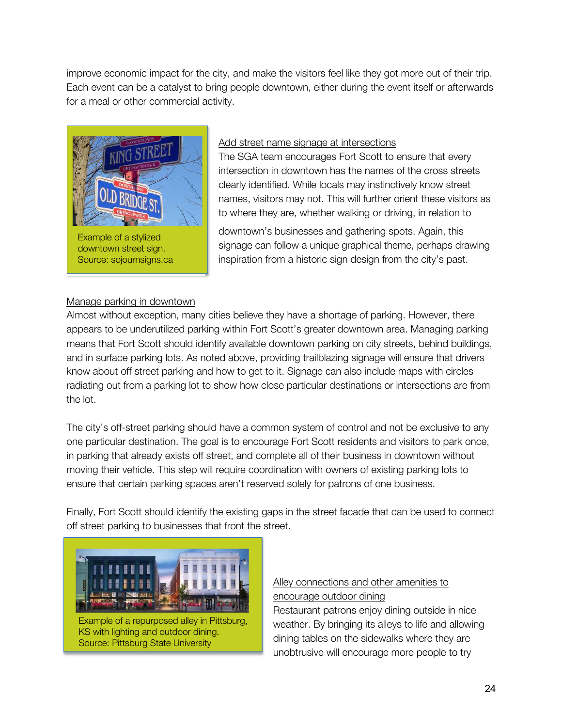improve economic impact for the city, and make the visitors feel like they got more out of their trip. Each event can be a catalyst to bring people downtown, either during the event itself or afterwards for a meal or other commercial activity.



#### Add street name signage at intersections

The SGA team encourages Fort Scott to ensure that every intersection in downtown has the names of the cross streets clearly identified. While locals may instinctively know street names, visitors may not. This will further orient these visitors as to where they are, whether walking or driving, in relation to

downtown's businesses and gathering spots. Again, this signage can follow a unique graphical theme, perhaps drawing inspiration from a historic sign design from the city's past.

#### Manage parking in downtown

Almost without exception, many cities believe they have a shortage of parking. However, there appears to be underutilized parking within Fort Scott's greater downtown area. Managing parking means that Fort Scott should identify available downtown parking on city streets, behind buildings, and in surface parking lots. As noted above, providing trailblazing signage will ensure that drivers know about off street parking and how to get to it. Signage can also include maps with circles radiating out from a parking lot to show how close particular destinations or intersections are from the lot.

The city's off-street parking should have a common system of control and not be exclusive to any one particular destination. The goal is to encourage Fort Scott residents and visitors to park once, in parking that already exists off street, and complete all of their business in downtown without moving their vehicle. This step will require coordination with owners of existing parking lots to ensure that certain parking spaces aren't reserved solely for patrons of one business.

Finally, Fort Scott should identify the existing gaps in the street facade that can be used to connect off street parking to businesses that front the street.



Example of a repurposed alley in Pittsburg, KS with lighting and outdoor dining. Source: Pittsburg State University

# Alley connections and other amenities to encourage outdoor dining

Restaurant patrons enjoy dining outside in nice weather. By bringing its alleys to life and allowing dining tables on the sidewalks where they are unobtrusive will encourage more people to try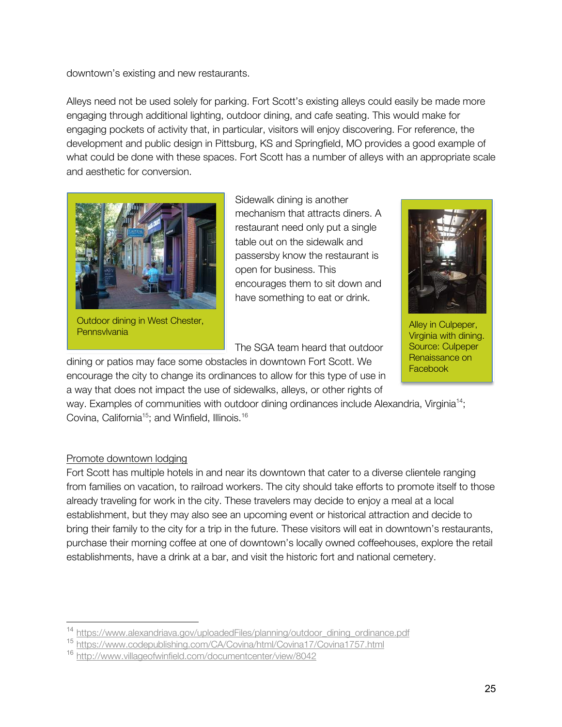downtown's existing and new restaurants.

Alleys need not be used solely for parking. Fort Scott's existing alleys could easily be made more engaging through additional lighting, outdoor dining, and cafe seating. This would make for engaging pockets of activity that, in particular, visitors will enjoy discovering. For reference, the development and public design in Pittsburg, KS and Springfield, MO provides a good example of what could be done with these spaces. Fort Scott has a number of alleys with an appropriate scale and aesthetic for conversion.



Outdoor dining in West Chester, Uutdoor dining in west Criester, and the contract of the contract of the Alley in Culpeper, and Alley in Culpeper, and Alley in Culpeper, and Alley in Culpeper, and Alley in Culpeper, and Alley in Culpeper, and Alley in Cu

Sidewalk dining is another mechanism that attracts diners. A restaurant need only put a single table out on the sidewalk and passersby know the restaurant is open for business. This encourages them to sit down and have something to eat or drink.

The SGA team heard that outdoor

dining or patios may face some obstacles in downtown Fort Scott. We encourage the city to change its ordinances to allow for this type of use in a way that does not impact the use of sidewalks, alleys, or other rights of

way. Examples of communities with outdoor dining ordinances include Alexandria, Virginia<sup>14</sup>; Covina, California<sup>15</sup>; and Winfield, Illinois.<sup>16</sup>

#### Promote downtown lodging

Fort Scott has multiple hotels in and near its downtown that cater to a diverse clientele ranging from families on vacation, to railroad workers. The city should take efforts to promote itself to those already traveling for work in the city. These travelers may decide to enjoy a meal at a local establishment, but they may also see an upcoming event or historical attraction and decide to bring their family to the city for a trip in the future. These visitors will eat in downtown's restaurants, purchase their morning coffee at one of downtown's locally owned coffeehouses, explore the retail establishments, have a drink at a bar, and visit the historic fort and national cemetery.



Virginia with dining. Source: Culpeper Renaissance on **Facebook** 

<sup>&</sup>lt;sup>14</sup> https://www.alexandriava.gov/uploadedFiles/planning/outdoor\_dining\_ordinance.pdf

<sup>15</sup> https://www.codepublishing.com/CA/Covina/html/Covina17/Covina1757.html

<sup>16</sup> http://www.villageofwinfield.com/documentcenter/view/8042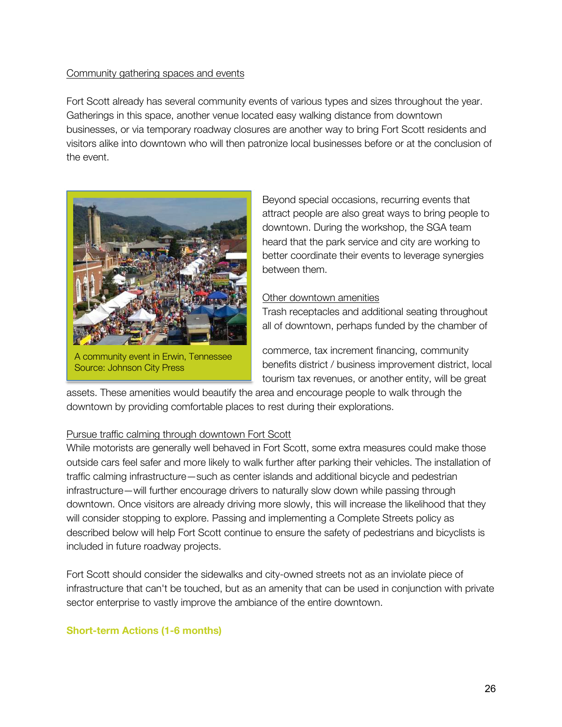#### Community gathering spaces and events

Fort Scott already has several community events of various types and sizes throughout the year. Gatherings in this space, another venue located easy walking distance from downtown businesses, or via temporary roadway closures are another way to bring Fort Scott residents and visitors alike into downtown who will then patronize local businesses before or at the conclusion of the event.



A community event in Erwin, Tennessee Source: Johnson City Press

Beyond special occasions, recurring events that attract people are also great ways to bring people to downtown. During the workshop, the SGA team heard that the park service and city are working to better coordinate their events to leverage synergies between them.

#### Other downtown amenities

Trash receptacles and additional seating throughout all of downtown, perhaps funded by the chamber of

commerce, tax increment financing, community benefits district / business improvement district, local tourism tax revenues, or another entity, will be great

assets. These amenities would beautify the area and encourage people to walk through the downtown by providing comfortable places to rest during their explorations.

#### Pursue traffic calming through downtown Fort Scott

While motorists are generally well behaved in Fort Scott, some extra measures could make those outside cars feel safer and more likely to walk further after parking their vehicles. The installation of traffic calming infrastructure—such as center islands and additional bicycle and pedestrian infrastructure—will further encourage drivers to naturally slow down while passing through downtown. Once visitors are already driving more slowly, this will increase the likelihood that they will consider stopping to explore. Passing and implementing a Complete Streets policy as described below will help Fort Scott continue to ensure the safety of pedestrians and bicyclists is included in future roadway projects.

Fort Scott should consider the sidewalks and city-owned streets not as an inviolate piece of infrastructure that can't be touched, but as an amenity that can be used in conjunction with private sector enterprise to vastly improve the ambiance of the entire downtown.

#### **Short-term Actions (1-6 months)**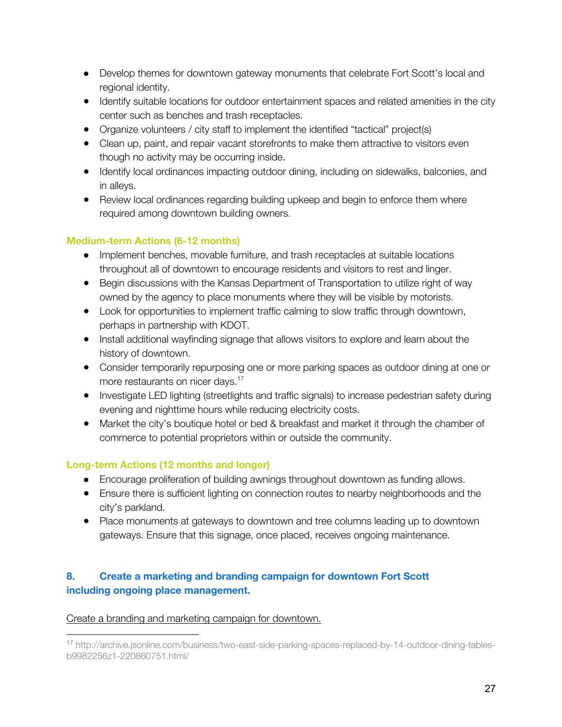- Develop themes for downtown gateway monuments that celebrate Fort Scott's local and regional identity.
- Identify suitable locations for outdoor entertainment spaces and related amenities in the city center such as benches and trash receptacles.
- Organize volunteers / city staff to implement the identified "tactical" project(s)
- Clean up, paint, and repair vacant storefronts to make them attractive to visitors even though no activity may be occurring inside.
- Identify local ordinances impacting outdoor dining, including on sidewalks, balconies, and in alleys.
- Review local ordinances regarding building upkeep and begin to enforce them where required among downtown building owners.

# **Medium-term Actions (6-12 months)**

- Implement benches, movable furniture, and trash receptacles at suitable locations throughout all of downtown to encourage residents and visitors to rest and linger.
- Begin discussions with the Kansas Department of Transportation to utilize right of way owned by the agency to place monuments where they will be visible by motorists.
- Look for opportunities to implement traffic calming to slow traffic through downtown, perhaps in partnership with KDOT.
- Install additional wayfinding signage that allows visitors to explore and learn about the history of downtown.
- Consider temporarily repurposing one or more parking spaces as outdoor dining at one or more restaurants on nicer days.<sup>17</sup>
- Investigate LED lighting (streetlights and traffic signals) to increase pedestrian safety during evening and nighttime hours while reducing electricity costs.
- Market the city's boutique hotel or bed & breakfast and market it through the chamber of commerce to potential proprietors within or outside the community.

# **Long-term Actions (12 months and longer)**

- Encourage proliferation of building awnings throughout downtown as funding allows.
- Ensure there is sufficient lighting on connection routes to nearby neighborhoods and the city's parkland.
- Place monuments at gateways to downtown and tree columns leading up to downtown gateways. Ensure that this signage, once placed, receives ongoing maintenance.

# **8. Create a marketing and branding campaign for downtown Fort Scott including ongoing place management.**

# Create a branding and marketing campaign for downtown.

<sup>17</sup> http://archive.jsonline.com/business/two-east-side-parking-spaces-replaced-by-14-outdoor-dining-tablesb9982256z1-220860751.html/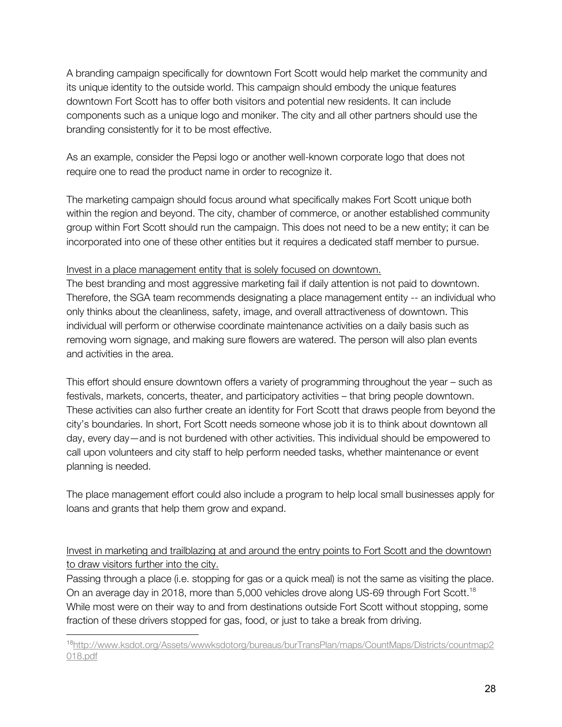A branding campaign specifically for downtown Fort Scott would help market the community and its unique identity to the outside world. This campaign should embody the unique features downtown Fort Scott has to offer both visitors and potential new residents. It can include components such as a unique logo and moniker. The city and all other partners should use the branding consistently for it to be most effective.

As an example, consider the Pepsi logo or another well-known corporate logo that does not require one to read the product name in order to recognize it.

The marketing campaign should focus around what specifically makes Fort Scott unique both within the region and beyond. The city, chamber of commerce, or another established community group within Fort Scott should run the campaign. This does not need to be a new entity; it can be incorporated into one of these other entities but it requires a dedicated staff member to pursue.

## Invest in a place management entity that is solely focused on downtown.

The best branding and most aggressive marketing fail if daily attention is not paid to downtown. Therefore, the SGA team recommends designating a place management entity -- an individual who only thinks about the cleanliness, safety, image, and overall attractiveness of downtown. This individual will perform or otherwise coordinate maintenance activities on a daily basis such as removing worn signage, and making sure flowers are watered. The person will also plan events and activities in the area.

This effort should ensure downtown offers a variety of programming throughout the year – such as festivals, markets, concerts, theater, and participatory activities – that bring people downtown. These activities can also further create an identity for Fort Scott that draws people from beyond the city's boundaries. In short, Fort Scott needs someone whose job it is to think about downtown all day, every day—and is not burdened with other activities. This individual should be empowered to call upon volunteers and city staff to help perform needed tasks, whether maintenance or event planning is needed.

The place management effort could also include a program to help local small businesses apply for loans and grants that help them grow and expand.

Invest in marketing and trailblazing at and around the entry points to Fort Scott and the downtown to draw visitors further into the city.

Passing through a place (i.e. stopping for gas or a quick meal) is not the same as visiting the place. On an average day in 2018, more than 5,000 vehicles drove along US-69 through Fort Scott.<sup>18</sup> While most were on their way to and from destinations outside Fort Scott without stopping, some fraction of these drivers stopped for gas, food, or just to take a break from driving.

<sup>18</sup>http://www.ksdot.org/Assets/wwwksdotorg/bureaus/burTransPlan/maps/CountMaps/Districts/countmap2 018.pdf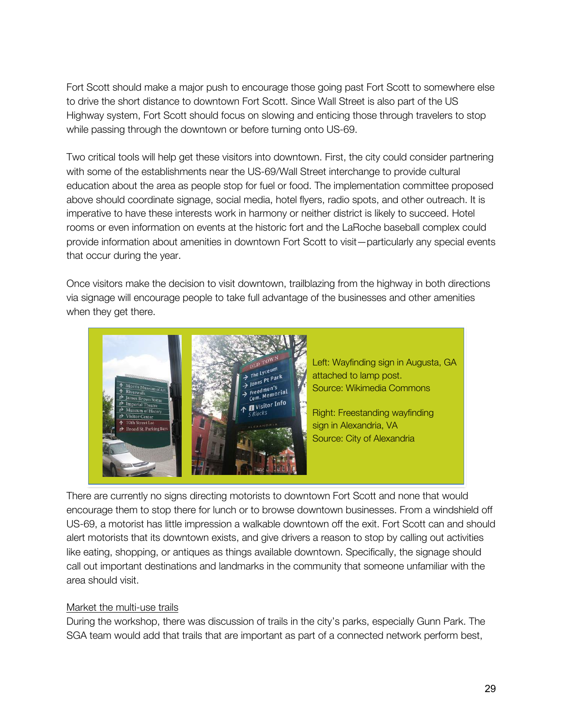Fort Scott should make a major push to encourage those going past Fort Scott to somewhere else to drive the short distance to downtown Fort Scott. Since Wall Street is also part of the US Highway system, Fort Scott should focus on slowing and enticing those through travelers to stop while passing through the downtown or before turning onto US-69.

Two critical tools will help get these visitors into downtown. First, the city could consider partnering with some of the establishments near the US-69/Wall Street interchange to provide cultural education about the area as people stop for fuel or food. The implementation committee proposed above should coordinate signage, social media, hotel flyers, radio spots, and other outreach. It is imperative to have these interests work in harmony or neither district is likely to succeed. Hotel rooms or even information on events at the historic fort and the LaRoche baseball complex could provide information about amenities in downtown Fort Scott to visit—particularly any special events that occur during the year.

Once visitors make the decision to visit downtown, trailblazing from the highway in both directions via signage will encourage people to take full advantage of the businesses and other amenities when they get there.



There are currently no signs directing motorists to downtown Fort Scott and none that would encourage them to stop there for lunch or to browse downtown businesses. From a windshield off US-69, a motorist has little impression a walkable downtown off the exit. Fort Scott can and should alert motorists that its downtown exists, and give drivers a reason to stop by calling out activities like eating, shopping, or antiques as things available downtown. Specifically, the signage should call out important destinations and landmarks in the community that someone unfamiliar with the area should visit.

#### Market the multi-use trails

During the workshop, there was discussion of trails in the city's parks, especially Gunn Park. The SGA team would add that trails that are important as part of a connected network perform best,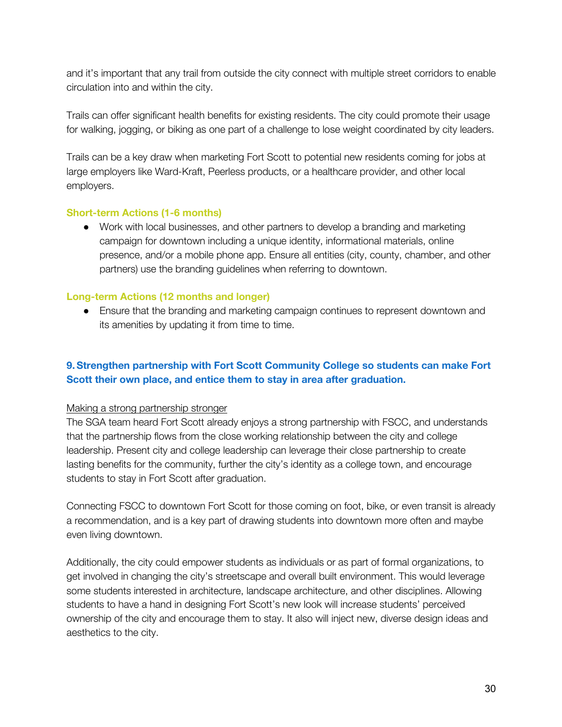and it's important that any trail from outside the city connect with multiple street corridors to enable circulation into and within the city.

Trails can offer significant health benefits for existing residents. The city could promote their usage for walking, jogging, or biking as one part of a challenge to lose weight coordinated by city leaders.

Trails can be a key draw when marketing Fort Scott to potential new residents coming for jobs at large employers like Ward-Kraft, Peerless products, or a healthcare provider, and other local employers.

#### **Short-term Actions (1-6 months)**

● Work with local businesses, and other partners to develop a branding and marketing campaign for downtown including a unique identity, informational materials, online presence, and/or a mobile phone app. Ensure all entities (city, county, chamber, and other partners) use the branding guidelines when referring to downtown.

#### **Long-term Actions (12 months and longer)**

• Ensure that the branding and marketing campaign continues to represent downtown and its amenities by updating it from time to time.

# **9.Strengthen partnership with Fort Scott Community College so students can make Fort Scott their own place, and entice them to stay in area after graduation.**

#### Making a strong partnership stronger

The SGA team heard Fort Scott already enjoys a strong partnership with FSCC, and understands that the partnership flows from the close working relationship between the city and college leadership. Present city and college leadership can leverage their close partnership to create lasting benefits for the community, further the city's identity as a college town, and encourage students to stay in Fort Scott after graduation.

Connecting FSCC to downtown Fort Scott for those coming on foot, bike, or even transit is already a recommendation, and is a key part of drawing students into downtown more often and maybe even living downtown.

Additionally, the city could empower students as individuals or as part of formal organizations, to get involved in changing the city's streetscape and overall built environment. This would leverage some students interested in architecture, landscape architecture, and other disciplines. Allowing students to have a hand in designing Fort Scott's new look will increase students' perceived ownership of the city and encourage them to stay. It also will inject new, diverse design ideas and aesthetics to the city.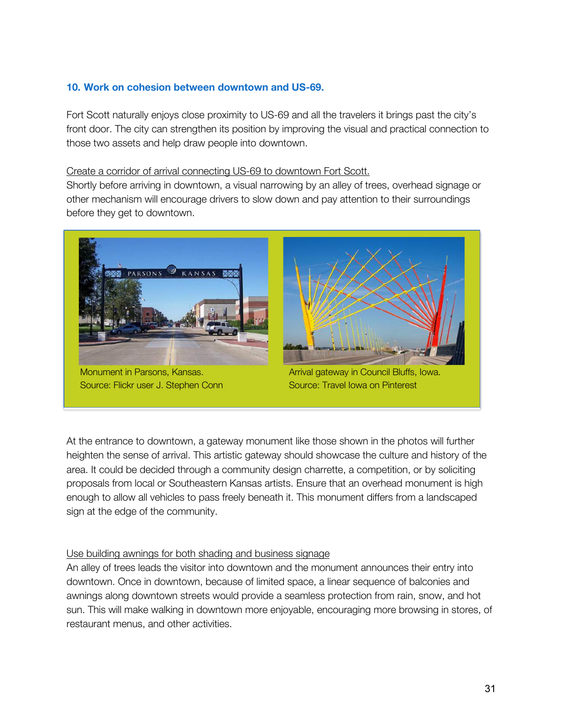#### **10. Work on cohesion between downtown and US-69.**

Fort Scott naturally enjoys close proximity to US-69 and all the travelers it brings past the city's front door. The city can strengthen its position by improving the visual and practical connection to those two assets and help draw people into downtown.

#### Create a corridor of arrival connecting US-69 to downtown Fort Scott.

Shortly before arriving in downtown, a visual narrowing by an alley of trees, overhead signage or other mechanism will encourage drivers to slow down and pay attention to their surroundings before they get to downtown.



At the entrance to downtown, a gateway monument like those shown in the photos will further heighten the sense of arrival. This artistic gateway should showcase the culture and history of the area. It could be decided through a community design charrette, a competition, or by soliciting proposals from local or Southeastern Kansas artists. Ensure that an overhead monument is high enough to allow all vehicles to pass freely beneath it. This monument differs from a landscaped sign at the edge of the community.

#### Use building awnings for both shading and business signage

An alley of trees leads the visitor into downtown and the monument announces their entry into downtown. Once in downtown, because of limited space, a linear sequence of balconies and awnings along downtown streets would provide a seamless protection from rain, snow, and hot sun. This will make walking in downtown more enjoyable, encouraging more browsing in stores, of restaurant menus, and other activities.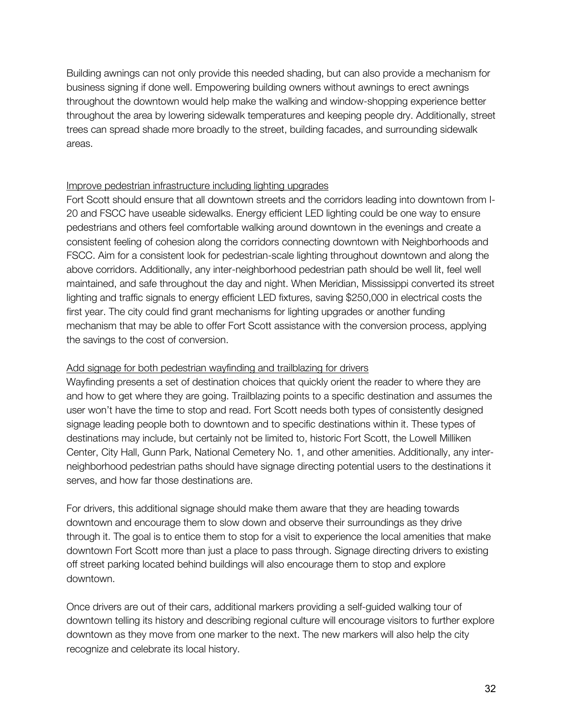Building awnings can not only provide this needed shading, but can also provide a mechanism for business signing if done well. Empowering building owners without awnings to erect awnings throughout the downtown would help make the walking and window-shopping experience better throughout the area by lowering sidewalk temperatures and keeping people dry. Additionally, street trees can spread shade more broadly to the street, building facades, and surrounding sidewalk areas.

#### Improve pedestrian infrastructure including lighting upgrades

Fort Scott should ensure that all downtown streets and the corridors leading into downtown from I-20 and FSCC have useable sidewalks. Energy efficient LED lighting could be one way to ensure pedestrians and others feel comfortable walking around downtown in the evenings and create a consistent feeling of cohesion along the corridors connecting downtown with Neighborhoods and FSCC. Aim for a consistent look for pedestrian-scale lighting throughout downtown and along the above corridors. Additionally, any inter-neighborhood pedestrian path should be well lit, feel well maintained, and safe throughout the day and night. When Meridian, Mississippi converted its street lighting and traffic signals to energy efficient LED fixtures, saving \$250,000 in electrical costs the first year. The city could find grant mechanisms for lighting upgrades or another funding mechanism that may be able to offer Fort Scott assistance with the conversion process, applying the savings to the cost of conversion.

#### Add signage for both pedestrian wayfinding and trailblazing for drivers

Wayfinding presents a set of destination choices that quickly orient the reader to where they are and how to get where they are going. Trailblazing points to a specific destination and assumes the user won't have the time to stop and read. Fort Scott needs both types of consistently designed signage leading people both to downtown and to specific destinations within it. These types of destinations may include, but certainly not be limited to, historic Fort Scott, the Lowell Milliken Center, City Hall, Gunn Park, National Cemetery No. 1, and other amenities. Additionally, any interneighborhood pedestrian paths should have signage directing potential users to the destinations it serves, and how far those destinations are.

For drivers, this additional signage should make them aware that they are heading towards downtown and encourage them to slow down and observe their surroundings as they drive through it. The goal is to entice them to stop for a visit to experience the local amenities that make downtown Fort Scott more than just a place to pass through. Signage directing drivers to existing off street parking located behind buildings will also encourage them to stop and explore downtown.

Once drivers are out of their cars, additional markers providing a self-guided walking tour of downtown telling its history and describing regional culture will encourage visitors to further explore downtown as they move from one marker to the next. The new markers will also help the city recognize and celebrate its local history.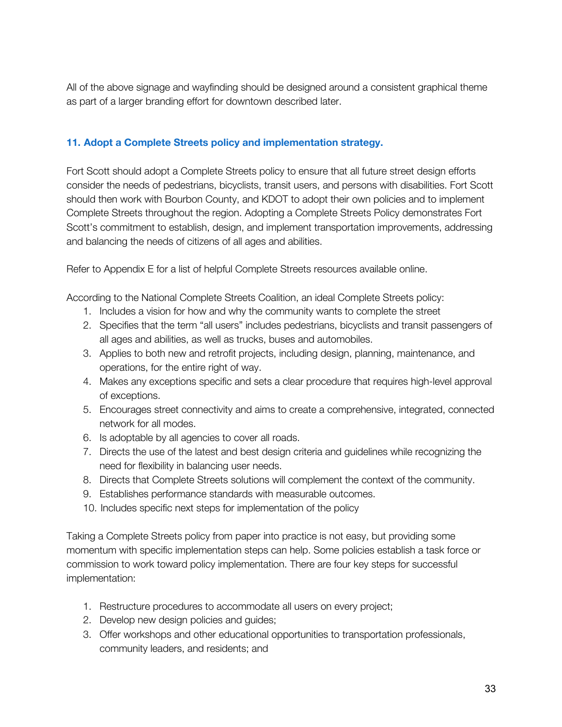All of the above signage and wayfinding should be designed around a consistent graphical theme as part of a larger branding effort for downtown described later.

## **11. Adopt a Complete Streets policy and implementation strategy.**

Fort Scott should adopt a Complete Streets policy to ensure that all future street design efforts consider the needs of pedestrians, bicyclists, transit users, and persons with disabilities. Fort Scott should then work with Bourbon County, and KDOT to adopt their own policies and to implement Complete Streets throughout the region. Adopting a Complete Streets Policy demonstrates Fort Scott's commitment to establish, design, and implement transportation improvements, addressing and balancing the needs of citizens of all ages and abilities.

Refer to Appendix E for a list of helpful Complete Streets resources available online.

According to the National Complete Streets Coalition, an ideal Complete Streets policy:

- 1. Includes a vision for how and why the community wants to complete the street
- 2. Specifies that the term "all users" includes pedestrians, bicyclists and transit passengers of all ages and abilities, as well as trucks, buses and automobiles.
- 3. Applies to both new and retrofit projects, including design, planning, maintenance, and operations, for the entire right of way.
- 4. Makes any exceptions specific and sets a clear procedure that requires high-level approval of exceptions.
- 5. Encourages street connectivity and aims to create a comprehensive, integrated, connected network for all modes.
- 6. Is adoptable by all agencies to cover all roads.
- 7. Directs the use of the latest and best design criteria and guidelines while recognizing the need for flexibility in balancing user needs.
- 8. Directs that Complete Streets solutions will complement the context of the community.
- 9. Establishes performance standards with measurable outcomes.
- 10. Includes specific next steps for implementation of the policy

Taking a Complete Streets policy from paper into practice is not easy, but providing some momentum with specific implementation steps can help. Some policies establish a task force or commission to work toward policy implementation. There are four key steps for successful implementation:

- 1. Restructure procedures to accommodate all users on every project;
- 2. Develop new design policies and guides;
- 3. Offer workshops and other educational opportunities to transportation professionals, community leaders, and residents; and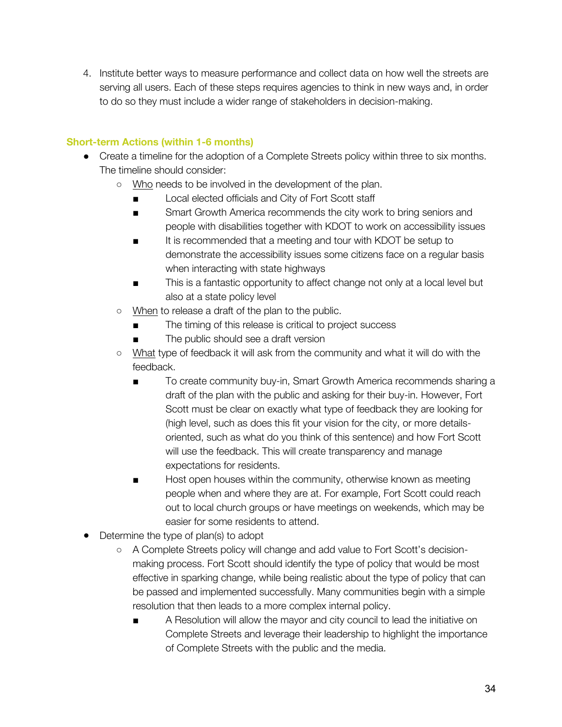4. Institute better ways to measure performance and collect data on how well the streets are serving all users. Each of these steps requires agencies to think in new ways and, in order to do so they must include a wider range of stakeholders in decision-making.

# **Short-term Actions (within 1-6 months)**

- Create a timeline for the adoption of a Complete Streets policy within three to six months. The timeline should consider:
	- Who needs to be involved in the development of the plan.
		- Local elected officials and City of Fort Scott staff
		- Smart Growth America recommends the city work to bring seniors and people with disabilities together with KDOT to work on accessibility issues
		- It is recommended that a meeting and tour with KDOT be setup to demonstrate the accessibility issues some citizens face on a regular basis when interacting with state highways
		- This is a fantastic opportunity to affect change not only at a local level but also at a state policy level
	- When to release a draft of the plan to the public.
		- The timing of this release is critical to project success
		- The public should see a draft version
	- What type of feedback it will ask from the community and what it will do with the feedback.
		- To create community buy-in, Smart Growth America recommends sharing a draft of the plan with the public and asking for their buy-in. However, Fort Scott must be clear on exactly what type of feedback they are looking for (high level, such as does this fit your vision for the city, or more detailsoriented, such as what do you think of this sentence) and how Fort Scott will use the feedback. This will create transparency and manage expectations for residents.
		- Host open houses within the community, otherwise known as meeting people when and where they are at. For example, Fort Scott could reach out to local church groups or have meetings on weekends, which may be easier for some residents to attend.
- Determine the type of plan(s) to adopt
	- A Complete Streets policy will change and add value to Fort Scott's decisionmaking process. Fort Scott should identify the type of policy that would be most effective in sparking change, while being realistic about the type of policy that can be passed and implemented successfully. Many communities begin with a simple resolution that then leads to a more complex internal policy.
		- A Resolution will allow the mayor and city council to lead the initiative on Complete Streets and leverage their leadership to highlight the importance of Complete Streets with the public and the media.